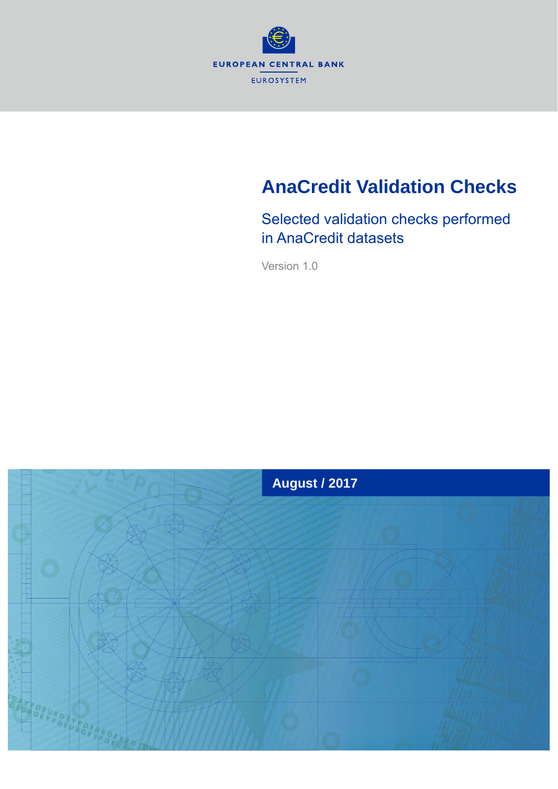

# **AnaCredit Validation Checks**

Selected validation checks performed in AnaCredit datasets

Version 1.0

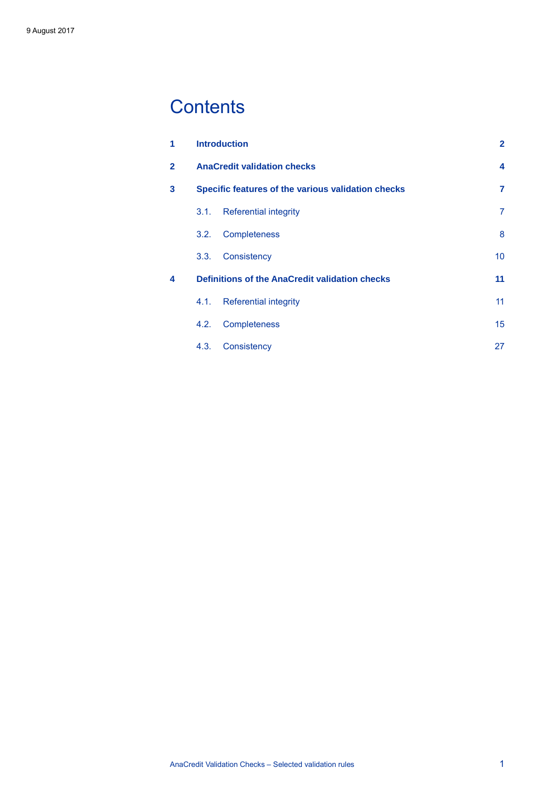## **Contents**

| 1            |      | <b>Introduction</b>                                   | $\overline{2}$ |
|--------------|------|-------------------------------------------------------|----------------|
| $\mathbf{2}$ |      | <b>AnaCredit validation checks</b>                    | 4              |
| 3            |      | Specific features of the various validation checks    | 7              |
|              | 3.1. | <b>Referential integrity</b>                          | 7              |
|              | 3.2. | <b>Completeness</b>                                   | 8              |
|              | 3.3. | Consistency                                           | 10             |
| 4            |      | <b>Definitions of the AnaCredit validation checks</b> | 11             |
|              | 4.1. | <b>Referential integrity</b>                          | 11             |
|              | 4.2. | <b>Completeness</b>                                   | 15             |
|              | 4.3. | Consistency                                           | 27             |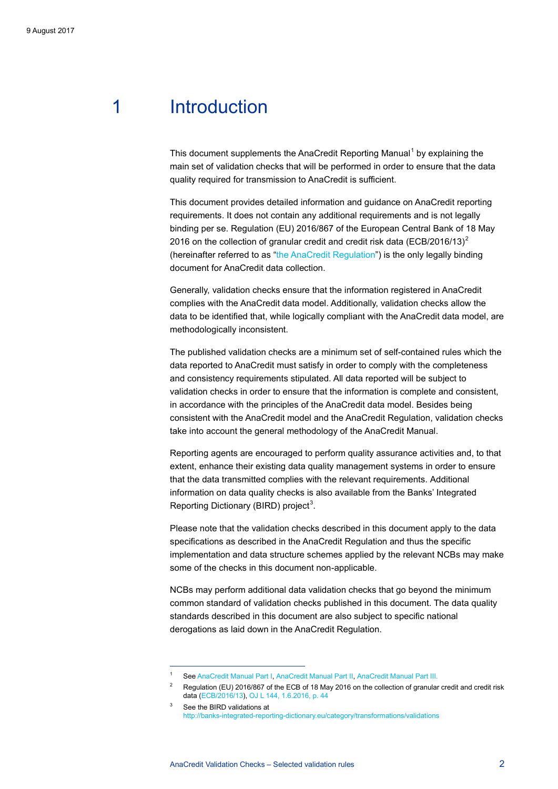## <span id="page-2-0"></span>1 Introduction

This document supplements the AnaCredit Reporting Manual<sup>[1](#page-2-1)</sup> by explaining the main set of validation checks that will be performed in order to ensure that the data quality required for transmission to AnaCredit is sufficient.

This document provides detailed information and guidance on AnaCredit reporting requirements. It does not contain any additional requirements and is not legally binding per se. Regulation (EU) 2016/867 of the European Central Bank of 18 May [2](#page-2-2)016 on the collection of granular credit and credit risk data (ECB/2016/13)<sup>2</sup> (hereinafter referred to as ["the AnaCredit Regulation"](https://www.ecb.europa.eu/ecb/legal/pdf/celex_32016r0867_en_txt.pdf)) is the only legally binding document for AnaCredit data collection.

Generally, validation checks ensure that the information registered in AnaCredit complies with the AnaCredit data model. Additionally, validation checks allow the data to be identified that, while logically compliant with the AnaCredit data model, are methodologically inconsistent.

The published validation checks are a minimum set of self-contained rules which the data reported to AnaCredit must satisfy in order to comply with the completeness and consistency requirements stipulated. All data reported will be subject to validation checks in order to ensure that the information is complete and consistent, in accordance with the principles of the AnaCredit data model. Besides being consistent with the AnaCredit model and the AnaCredit Regulation, validation checks take into account the general methodology of the AnaCredit Manual.

Reporting agents are encouraged to perform quality assurance activities and, to that extent, enhance their existing data quality management systems in order to ensure that the data transmitted complies with the relevant requirements. Additional information on data quality checks is also available from the Banks' Integrated Reporting Dictionary (BIRD) project<sup>[3](#page-2-3)</sup>.

Please note that the validation checks described in this document apply to the data specifications as described in the AnaCredit Regulation and thus the specific implementation and data structure schemes applied by the relevant NCBs may make some of the checks in this document non-applicable.

NCBs may perform additional data validation checks that go beyond the minimum common standard of validation checks published in this document. The data quality standards described in this document are also subject to specific national derogations as laid down in the AnaCredit Regulation.

<span id="page-2-2"></span><span id="page-2-1"></span><sup>1</sup> Se[e AnaCredit Manual Part I,](https://www.ecb.europa.eu/stats/money/aggregates/anacredit/shared/pdf/AnaCredit_Manual_Part_I_General_Methodology.pdf) [AnaCredit Manual Part II,](https://www.ecb.europa.eu/stats/money/aggregates/anacredit/shared/pdf/AnaCredit_Manual_Part_II_Datasets_and_data_attributes.pdf) [AnaCredit Manual Part III.](https://www.ecb.europa.eu/pub/pdf/other/AnaCredit_Manual_Part_III_Case_studies.en.pdf?101d9755fe45c1f070fbf1f7afef9651) 

<sup>2</sup> Regulation (EU) 2016/867 of the ECB of 18 May 2016 on the collection of granular credit and credit risk data [\(ECB/2016/13\)](https://www.ecb.europa.eu/ecb/legal/pdf/celex_32016r0867_en_txt.pdf)[, OJ L 144, 1.6.2016, p. 44](http://eur-lex.europa.eu/legal-content/EN/TXT/PDF/?uri=CELEX:32016R0867&from=EN)

<span id="page-2-3"></span><sup>3</sup> See the BIRD validations at http://banks-integrated-reporting-dictionary.eu/category/transformations/validations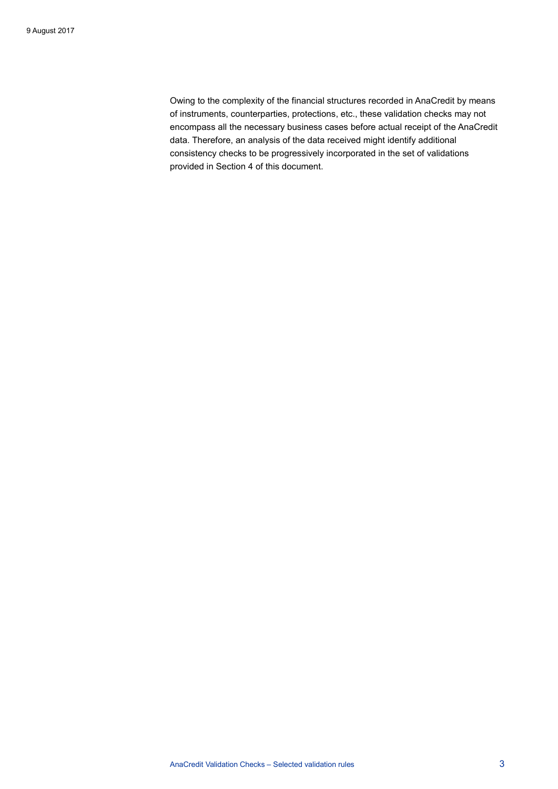Owing to the complexity of the financial structures recorded in AnaCredit by means of instruments, counterparties, protections, etc., these validation checks may not encompass all the necessary business cases before actual receipt of the AnaCredit data. Therefore, an analysis of the data received might identify additional consistency checks to be progressively incorporated in the set of validations provided in Section [4](#page-11-0) of this document.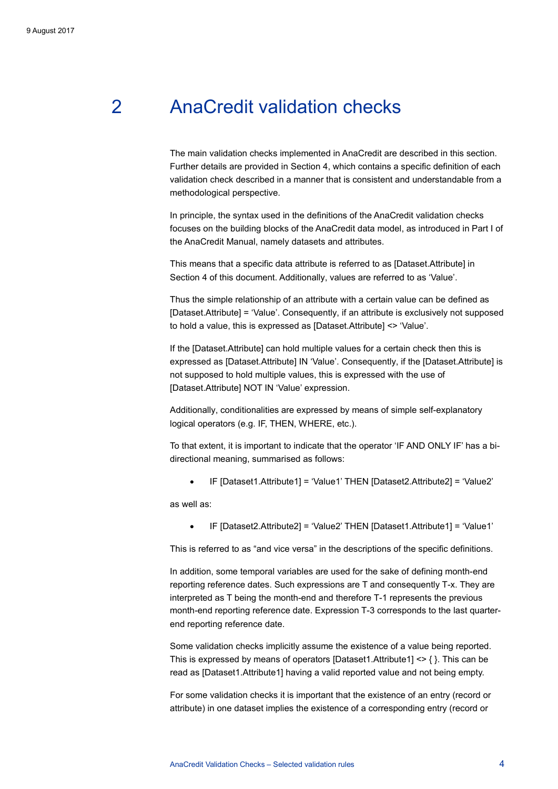## 2 AnaCredit validation checks

<span id="page-4-0"></span>The main validation checks implemented in AnaCredit are described in this section. Further details are provided in Sectio[n 4,](#page-11-0) which contains a specific definition of each validation check described in a manner that is consistent and understandable from a methodological perspective.

In principle, the syntax used in the definitions of the AnaCredit validation checks focuses on the building blocks of the AnaCredit data model, as introduced in Part I of the AnaCredit Manual, namely datasets and attributes.

This means that a specific data attribute is referred to as [Dataset.Attribute] in Section [4](#page-11-0) of this document. Additionally, values are referred to as 'Value'.

Thus the simple relationship of an attribute with a certain value can be defined as [Dataset.Attribute] = 'Value'. Consequently, if an attribute is exclusively not supposed to hold a value, this is expressed as [Dataset.Attribute] <> 'Value'.

If the [Dataset.Attribute] can hold multiple values for a certain check then this is expressed as [Dataset.Attribute] IN 'Value'. Consequently, if the [Dataset.Attribute] is not supposed to hold multiple values, this is expressed with the use of [Dataset.Attribute] NOT IN 'Value' expression.

Additionally, conditionalities are expressed by means of simple self-explanatory logical operators (e.g. IF, THEN, WHERE, etc.).

To that extent, it is important to indicate that the operator 'IF AND ONLY IF' has a bidirectional meaning, summarised as follows:

• IF [Dataset1.Attribute1] = 'Value1' THEN [Dataset2.Attribute2] = 'Value2'

as well as:

• IF [Dataset2.Attribute2] = 'Value2' THEN [Dataset1.Attribute1] = 'Value1'

This is referred to as "and vice versa" in the descriptions of the specific definitions.

In addition, some temporal variables are used for the sake of defining month-end reporting reference dates. Such expressions are T and consequently T-x. They are interpreted as T being the month-end and therefore T-1 represents the previous month-end reporting reference date. Expression T-3 corresponds to the last quarterend reporting reference date.

Some validation checks implicitly assume the existence of a value being reported. This is expressed by means of operators [Dataset1.Attribute1] <> { }. This can be read as [Dataset1.Attribute1] having a valid reported value and not being empty.

For some validation checks it is important that the existence of an entry (record or attribute) in one dataset implies the existence of a corresponding entry (record or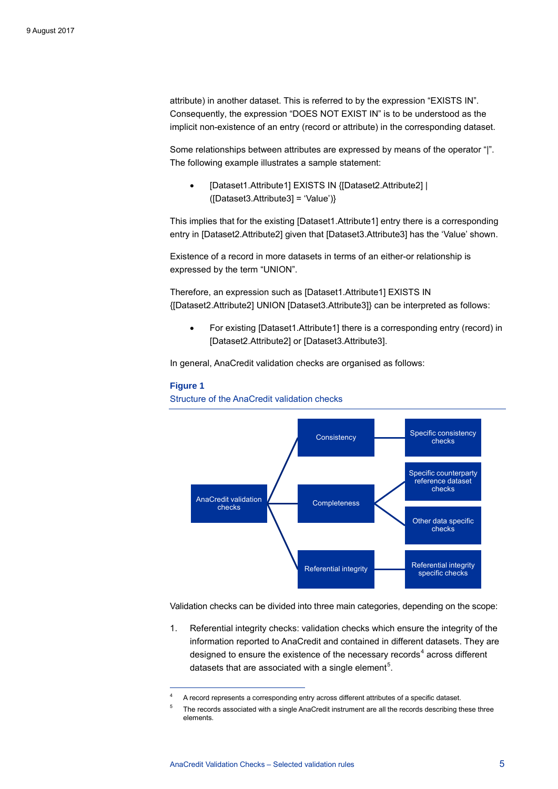attribute) in another dataset. This is referred to by the expression "EXISTS IN". Consequently, the expression "DOES NOT EXIST IN" is to be understood as the implicit non-existence of an entry (record or attribute) in the corresponding dataset.

Some relationships between attributes are expressed by means of the operator "|". The following example illustrates a sample statement:

• [Dataset1.Attribute1] EXISTS IN {[Dataset2.Attribute2] | ([Dataset3.Attribute3] = 'Value')}

This implies that for the existing [Dataset1.Attribute1] entry there is a corresponding entry in [Dataset2.Attribute2] given that [Dataset3.Attribute3] has the 'Value' shown.

Existence of a record in more datasets in terms of an either-or relationship is expressed by the term "UNION".

Therefore, an expression such as [Dataset1.Attribute1] EXISTS IN {[Dataset2.Attribute2] UNION [Dataset3.Attribute3]} can be interpreted as follows:

• For existing [Dataset1.Attribute1] there is a corresponding entry (record) in [Dataset2.Attribute2] or [Dataset3.Attribute3].

In general, AnaCredit validation checks are organised as follows:

#### **Figure 1**

-

Structure of the AnaCredit validation checks



Validation checks can be divided into three main categories, depending on the scope:

1. Referential integrity checks: validation checks which ensure the integrity of the information reported to AnaCredit and contained in different datasets. They are designed to ensure the existence of the necessary records<sup>[4](#page-5-0)</sup> across different datasets that are associated with a single element<sup>[5](#page-5-1)</sup>.

<sup>4</sup> A record represents a corresponding entry across different attributes of a specific dataset.

<span id="page-5-1"></span><span id="page-5-0"></span><sup>5</sup> The records associated with a single AnaCredit instrument are all the records describing these three elements.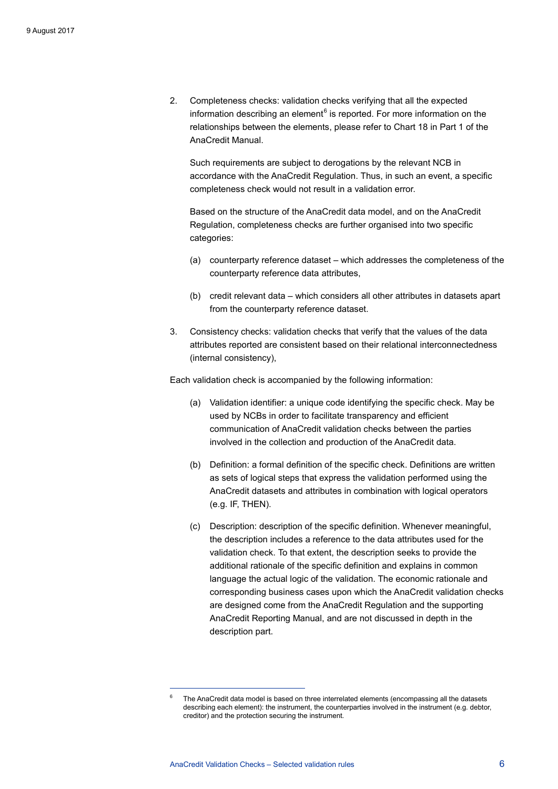2. Completeness checks: validation checks verifying that all the expected information describing an element $6$  is reported. For more information on the relationships between the elements, please refer to Chart 18 in Part 1 of the AnaCredit Manual.

Such requirements are subject to derogations by the relevant NCB in accordance with the AnaCredit Regulation. Thus, in such an event, a specific completeness check would not result in a validation error.

Based on the structure of the AnaCredit data model, and on the AnaCredit Regulation, completeness checks are further organised into two specific categories:

- (a) counterparty reference dataset which addresses the completeness of the counterparty reference data attributes,
- (b) credit relevant data which considers all other attributes in datasets apart from the counterparty reference dataset.
- 3. Consistency checks: validation checks that verify that the values of the data attributes reported are consistent based on their relational interconnectedness (internal consistency),

Each validation check is accompanied by the following information:

- (a) Validation identifier: a unique code identifying the specific check. May be used by NCBs in order to facilitate transparency and efficient communication of AnaCredit validation checks between the parties involved in the collection and production of the AnaCredit data.
- (b) Definition: a formal definition of the specific check. Definitions are written as sets of logical steps that express the validation performed using the AnaCredit datasets and attributes in combination with logical operators (e.g. IF, THEN).
- (c) Description: description of the specific definition. Whenever meaningful, the description includes a reference to the data attributes used for the validation check. To that extent, the description seeks to provide the additional rationale of the specific definition and explains in common language the actual logic of the validation. The economic rationale and corresponding business cases upon which the AnaCredit validation checks are designed come from the AnaCredit Regulation and the supporting AnaCredit Reporting Manual, and are not discussed in depth in the description part.

<span id="page-6-0"></span><sup>6</sup> The AnaCredit data model is based on three interrelated elements (encompassing all the datasets describing each element): the instrument, the counterparties involved in the instrument (e.g. debtor, creditor) and the protection securing the instrument.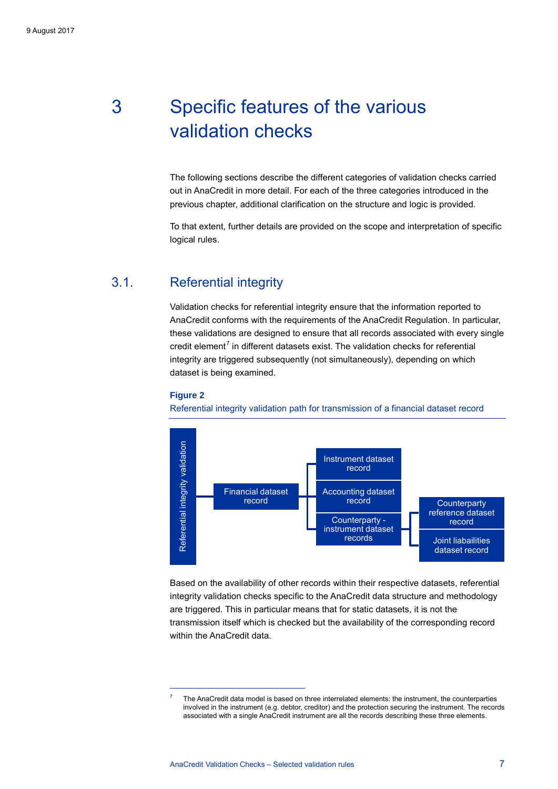## <span id="page-7-0"></span>3 Specific features of the various validation checks

The following sections describe the different categories of validation checks carried out in AnaCredit in more detail. For each of the three categories introduced in the previous chapter, additional clarification on the structure and logic is provided.

<span id="page-7-1"></span>To that extent, further details are provided on the scope and interpretation of specific logical rules.

### 3.1. Referential integrity

Validation checks for referential integrity ensure that the information reported to AnaCredit conforms with the requirements of the AnaCredit Regulation. In particular, these validations are designed to ensure that all records associated with every single credit element $<sup>7</sup>$  $<sup>7</sup>$  $<sup>7</sup>$  in different datasets exist. The validation checks for referential</sup> integrity are triggered subsequently (not simultaneously), depending on which dataset is being examined.



-

Referential integrity validation path for transmission of a financial dataset record



Based on the availability of other records within their respective datasets, referential integrity validation checks specific to the AnaCredit data structure and methodology are triggered. This in particular means that for static datasets, it is not the transmission itself which is checked but the availability of the corresponding record within the AnaCredit data.

<span id="page-7-2"></span><sup>7</sup> The AnaCredit data model is based on three interrelated elements: the instrument, the counterparties involved in the instrument (e.g. debtor, creditor) and the protection securing the instrument. The records associated with a single AnaCredit instrument are all the records describing these three elements.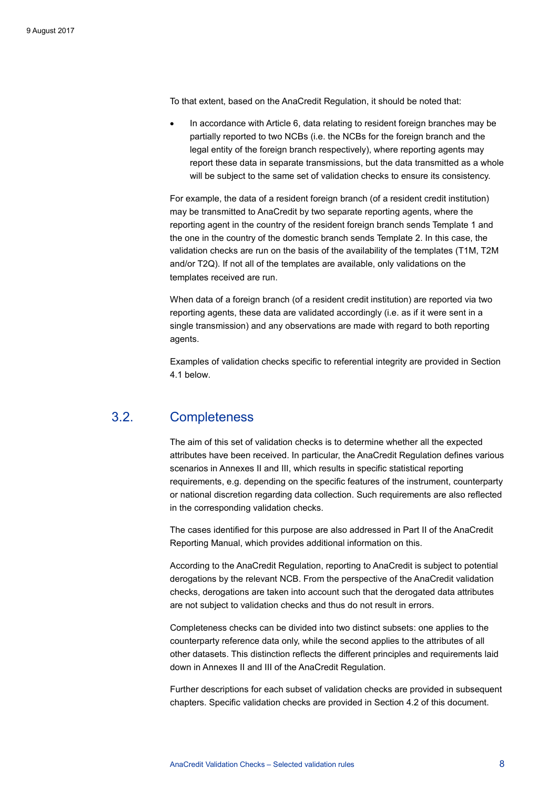To that extent, based on the AnaCredit Regulation, it should be noted that:

• In accordance with Article 6, data relating to resident foreign branches may be partially reported to two NCBs (i.e. the NCBs for the foreign branch and the legal entity of the foreign branch respectively), where reporting agents may report these data in separate transmissions, but the data transmitted as a whole will be subject to the same set of validation checks to ensure its consistency.

For example, the data of a resident foreign branch (of a resident credit institution) may be transmitted to AnaCredit by two separate reporting agents, where the reporting agent in the country of the resident foreign branch sends Template 1 and the one in the country of the domestic branch sends Template 2. In this case, the validation checks are run on the basis of the availability of the templates (T1M, T2M and/or T2Q). If not all of the templates are available, only validations on the templates received are run.

When data of a foreign branch (of a resident credit institution) are reported via two reporting agents, these data are validated accordingly (i.e. as if it were sent in a single transmission) and any observations are made with regard to both reporting agents.

<span id="page-8-0"></span>Examples of validation checks specific to referential integrity are provided in Section [4.1](#page-11-1) below.

### 3.2. Completeness

The aim of this set of validation checks is to determine whether all the expected attributes have been received. In particular, the AnaCredit Regulation defines various scenarios in Annexes II and III, which results in specific statistical reporting requirements, e.g. depending on the specific features of the instrument, counterparty or national discretion regarding data collection. Such requirements are also reflected in the corresponding validation checks.

The cases identified for this purpose are also addressed in Part II of the AnaCredit Reporting Manual, which provides additional information on this.

According to the AnaCredit Regulation, reporting to AnaCredit is subject to potential derogations by the relevant NCB. From the perspective of the AnaCredit validation checks, derogations are taken into account such that the derogated data attributes are not subject to validation checks and thus do not result in errors.

Completeness checks can be divided into two distinct subsets: one applies to the counterparty reference data only, while the second applies to the attributes of all other datasets. This distinction reflects the different principles and requirements laid down in Annexes II and III of the AnaCredit Regulation.

Further descriptions for each subset of validation checks are provided in subsequent chapters. Specific validation checks are provided in Section [4.2](#page-15-0) of this document.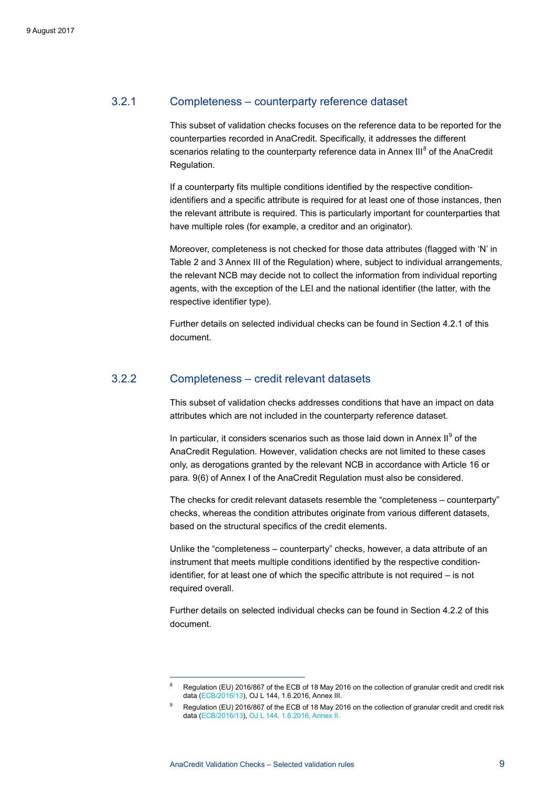#### 3.2.1 Completeness – counterparty reference dataset

This subset of validation checks focuses on the reference data to be reported for the counterparties recorded in AnaCredit. Specifically, it addresses the different scenarios relating to the counterparty reference data in Annex III<sup>[8](#page-9-0)</sup> of the AnaCredit Regulation.

If a counterparty fits multiple conditions identified by the respective conditionidentifiers and a specific attribute is required for at least one of those instances, then the relevant attribute is required. This is particularly important for counterparties that have multiple roles (for example, a creditor and an originator).

Moreover, completeness is not checked for those data attributes (flagged with 'N' in Table 2 and 3 Annex III of the Regulation) where, subject to individual arrangements, the relevant NCB may decide not to collect the information from individual reporting agents, with the exception of the LEI and the national identifier (the latter, with the respective identifier type).

Further details on selected individual checks can be found in Sectio[n 4.2.1](#page-15-1) of this document.

#### 3.2.2 Completeness – credit relevant datasets

This subset of validation checks addresses conditions that have an impact on data attributes which are not included in the counterparty reference dataset.

In particular, it considers scenarios such as those laid down in Annex  $II^9$  $II^9$  of the AnaCredit Regulation. However, validation checks are not limited to these cases only, as derogations granted by the relevant NCB in accordance with Article 16 or para. 9(6) of Annex I of the AnaCredit Regulation must also be considered.

The checks for credit relevant datasets resemble the "completeness – counterparty" checks, whereas the condition attributes originate from various different datasets, based on the structural specifics of the credit elements.

Unlike the "completeness – counterparty" checks, however, a data attribute of an instrument that meets multiple conditions identified by the respective conditionidentifier, for at least one of which the specific attribute is not required – is not required overall.

Further details on selected individual checks can be found in Section [4.2.2](#page-24-0) of this document.

<span id="page-9-0"></span><sup>8</sup> Regulation (EU) 2016/867 of the ECB of 18 May 2016 on the collection of granular credit and credit risk data [\(ECB/2016/13\),](https://www.ecb.europa.eu/ecb/legal/pdf/celex_32016r0867_en_txt.pdf) OJ L 144, 1.6.2016, Annex III.

<span id="page-9-1"></span><sup>9</sup> Regulation (EU) 2016/867 of the ECB of 18 May 2016 on the collection of granular credit and credit risk data [\(ECB/2016/13\)](https://www.ecb.europa.eu/ecb/legal/pdf/celex_32016r0867_en_txt.pdf)[, OJ L 144, 1.6.2016,](http://eur-lex.europa.eu/legal-content/EN/TXT/PDF/?uri=CELEX:32016R0867&from=EN) Annex II.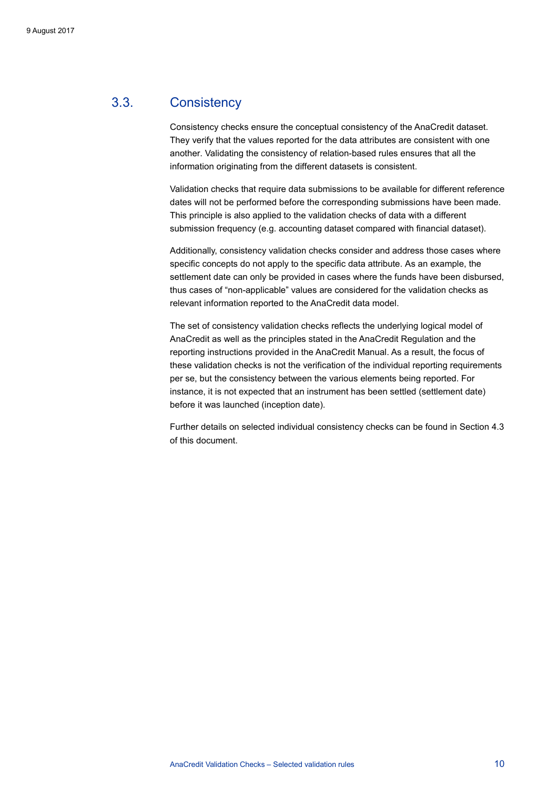### 3.3. Consistency

<span id="page-10-0"></span>Consistency checks ensure the conceptual consistency of the AnaCredit dataset. They verify that the values reported for the data attributes are consistent with one another. Validating the consistency of relation-based rules ensures that all the information originating from the different datasets is consistent.

Validation checks that require data submissions to be available for different reference dates will not be performed before the corresponding submissions have been made. This principle is also applied to the validation checks of data with a different submission frequency (e.g. accounting dataset compared with financial dataset).

Additionally, consistency validation checks consider and address those cases where specific concepts do not apply to the specific data attribute. As an example, the settlement date can only be provided in cases where the funds have been disbursed, thus cases of "non-applicable" values are considered for the validation checks as relevant information reported to the AnaCredit data model.

The set of consistency validation checks reflects the underlying logical model of AnaCredit as well as the principles stated in the AnaCredit Regulation and the reporting instructions provided in the AnaCredit Manual. As a result, the focus of these validation checks is not the verification of the individual reporting requirements per se, but the consistency between the various elements being reported. For instance, it is not expected that an instrument has been settled (settlement date) before it was launched (inception date).

Further details on selected individual consistency checks can be found in Sectio[n 4.3](#page-27-0) of this document.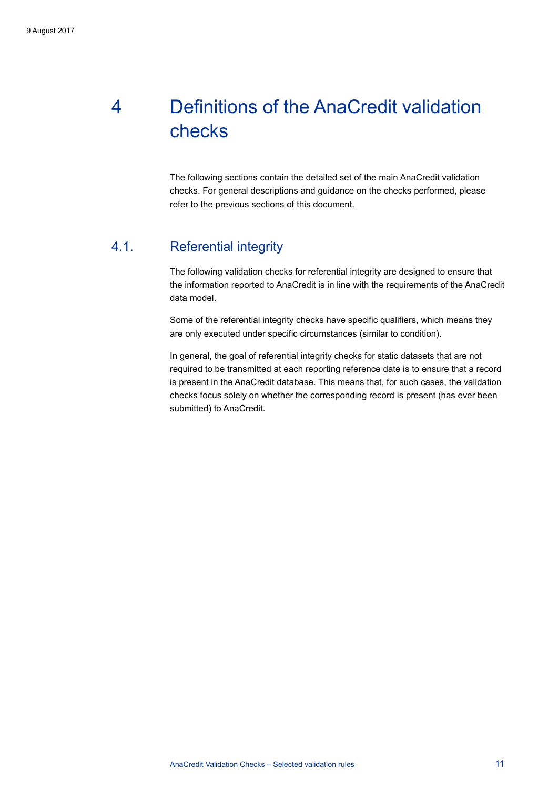## <span id="page-11-0"></span>4 Definitions of the AnaCredit validation checks

<span id="page-11-1"></span>The following sections contain the detailed set of the main AnaCredit validation checks. For general descriptions and guidance on the checks performed, please refer to the previous sections of this document.

## 4.1. Referential integrity

The following validation checks for referential integrity are designed to ensure that the information reported to AnaCredit is in line with the requirements of the AnaCredit data model.

Some of the referential integrity checks have specific qualifiers, which means they are only executed under specific circumstances (similar to condition).

In general, the goal of referential integrity checks for static datasets that are not required to be transmitted at each reporting reference date is to ensure that a record is present in the AnaCredit database. This means that, for such cases, the validation checks focus solely on whether the corresponding record is present (has ever been submitted) to AnaCredit.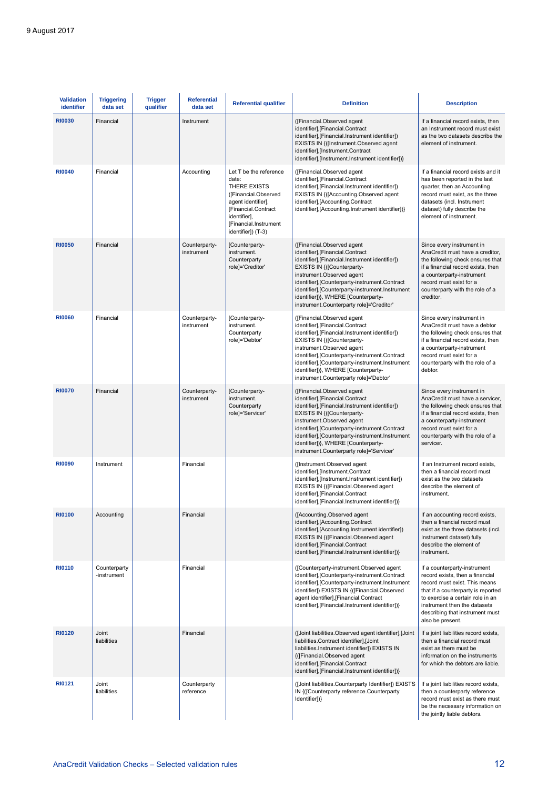| <b>Validation</b><br>identifier | <b>Triggering</b><br>data set | <b>Trigger</b><br>qualifier | <b>Referential</b><br>data set | <b>Referential qualifier</b>                                                                                                                                                        | <b>Definition</b>                                                                                                                                                                                                                                                                                                                                                      | <b>Description</b>                                                                                                                                                                                                                                                |  |  |
|---------------------------------|-------------------------------|-----------------------------|--------------------------------|-------------------------------------------------------------------------------------------------------------------------------------------------------------------------------------|------------------------------------------------------------------------------------------------------------------------------------------------------------------------------------------------------------------------------------------------------------------------------------------------------------------------------------------------------------------------|-------------------------------------------------------------------------------------------------------------------------------------------------------------------------------------------------------------------------------------------------------------------|--|--|
| <b>RI0030</b>                   | Financial                     |                             | Instrument                     |                                                                                                                                                                                     | ([Financial.Observed agent<br>identifier], [Financial.Contract<br>identifier], [Financial. Instrument identifier])<br>EXISTS IN {([Instrument.Observed agent<br>identifier],[Instrument.Contract<br>identifier],[Instrument.Instrument identifier])}                                                                                                                   | If a financial record exists, then<br>an Instrument record must exist<br>as the two datasets describe the<br>element of instrument.                                                                                                                               |  |  |
| <b>RI0040</b>                   | Financial                     |                             | Accounting                     | Let T be the reference<br>date:<br>THERE EXISTS<br>([Financial.Observed<br>agent identifier],<br>[Financial.Contract<br>identifier],<br>[Financial.Instrument<br>identifier]) (T-3) | ([Financial.Observed agent<br>identifier], [Financial.Contract<br>identifier],[Financial.Instrument identifier])<br>EXISTS IN {([Accounting.Observed agent<br>identifier], [Accounting.Contract<br>identifier], [Accounting. Instrument identifier])}                                                                                                                  | If a financial record exists and it<br>has been reported in the last<br>quarter, then an Accounting<br>record must exist, as the three<br>datasets (incl. Instrument<br>dataset) fully describe the<br>element of instrument.                                     |  |  |
| <b>RI0050</b>                   | Financial                     |                             | Counterparty-<br>instrument    | [Counterparty-<br>instrument.<br>Counterparty<br>role]='Creditor'                                                                                                                   | ([Financial.Observed agent<br>identifier], [Financial.Contract<br>identifier], [Financial. Instrument identifier])<br>EXISTS IN {([Counterparty-<br>instrument.Observed agent<br>identifier], [Counterparty-instrument.Contract<br>identifier],[Counterparty-instrument.Instrument<br>identifier])}, WHERE [Counterparty-<br>instrument.Counterparty role]='Creditor'  | Since every instrument in<br>AnaCredit must have a creditor,<br>the following check ensures that<br>if a financial record exists, then<br>a counterparty-instrument<br>record must exist for a<br>counterparty with the role of a<br>creditor.                    |  |  |
| <b>RI0060</b>                   | Financial                     |                             | Counterparty-<br>instrument    | [Counterparty-<br>instrument.<br>Counterparty<br>role]='Debtor'                                                                                                                     | ([Financial.Observed agent<br>identifier], [Financial.Contract<br>identifier], [Financial. Instrument identifier])<br>EXISTS IN {([Counterparty-<br>instrument.Observed agent<br>identifier],[Counterparty-instrument.Contract<br>identifier], [Counterparty-instrument.Instrument<br>identifier])}, WHERE [Counterparty-<br>instrument.Counterparty role]='Debtor'    | Since every instrument in<br>AnaCredit must have a debtor<br>the following check ensures that<br>if a financial record exists, then<br>a counterparty-instrument<br>record must exist for a<br>counterparty with the role of a<br>debtor.                         |  |  |
| <b>RI0070</b>                   | Financial                     |                             | Counterparty-<br>instrument    | [Counterparty-<br>instrument.<br>Counterparty<br>role]='Servicer'                                                                                                                   | ([Financial.Observed agent<br>identifier], [Financial.Contract<br>identifier], [Financial. Instrument identifier])<br>EXISTS IN {([Counterparty-<br>instrument.Observed agent<br>identifier], [Counterparty-instrument.Contract<br>identifier], [Counterparty-instrument.Instrument<br>identifier])}, WHERE [Counterparty-<br>instrument.Counterparty role]='Servicer' | Since every instrument in<br>AnaCredit must have a servicer,<br>the following check ensures that<br>if a financial record exists, then<br>a counterparty-instrument<br>record must exist for a<br>counterparty with the role of a<br>servicer.                    |  |  |
| <b>RI0090</b>                   | Instrument                    |                             | Financial                      |                                                                                                                                                                                     | ([Instrument.Observed agent<br>identifier],[Instrument.Contract<br>identifier],[Instrument.Instrument identifier])<br>EXISTS IN {([Financial.Observed agent<br>identifier],[Financial.Contract<br>identifier],[Financial.Instrument identifier])}                                                                                                                      | If an Instrument record exists,<br>then a financial record must<br>exist as the two datasets<br>describe the element of<br>instrument.                                                                                                                            |  |  |
| <b>RI0100</b>                   | Accounting                    |                             | Financial                      |                                                                                                                                                                                     | ([Accounting.Observed agent<br>identifier], [Accounting.Contract<br>identifier], [Accounting. Instrument identifier])<br>EXISTS IN {([Financial.Observed agent<br>identifier], [Financial.Contract<br>identifier],[Financial.Instrument identifier])}                                                                                                                  | If an accounting record exists,<br>then a financial record must<br>exist as the three datasets (incl.<br>Instrument dataset) fully<br>describe the element of<br>instrument.                                                                                      |  |  |
| <b>RI0110</b>                   | Counterparty<br>-instrument   |                             | Financial                      |                                                                                                                                                                                     | ([Counterparty-instrument.Observed agent<br>identifier], [Counterparty-instrument.Contract<br>identifier], [Counterparty-instrument.Instrument<br>identifier]) EXISTS IN {([Financial.Observed<br>agent identifier], [Financial.Contract<br>identifier], [Financial.Instrument identifier])}                                                                           | If a counterparty-instrument<br>record exists, then a financial<br>record must exist. This means<br>that if a counterparty is reported<br>to exercise a certain role in an<br>instrument then the datasets<br>describing that instrument must<br>also be present. |  |  |
| <b>RI0120</b>                   | Joint<br>liabilities          |                             | Financial                      |                                                                                                                                                                                     | (Joint liabilities.Observed agent identifier], [Joint<br>liabilities.Contract identifier],[Joint<br>liabilities.Instrument identifier]) EXISTS IN<br>{([Financial.Observed agent<br>identifier], [Financial.Contract<br>identifier],[Financial.Instrument identifier])}                                                                                                | If a joint liabilities record exists,<br>then a financial record must<br>exist as there must be<br>information on the instruments<br>for which the debtors are liable.                                                                                            |  |  |
| <b>RI0121</b>                   | Joint<br>liabilities          |                             | Counterparty<br>reference      |                                                                                                                                                                                     | ([Joint liabilities.Counterparty Identifier]) EXISTS<br>IN {([Counterparty reference.Counterparty<br>Identifier])}                                                                                                                                                                                                                                                     | If a joint liabilities record exists,<br>then a counterparty reference<br>record must exist as there must<br>be the necessary information on<br>the jointly liable debtors.                                                                                       |  |  |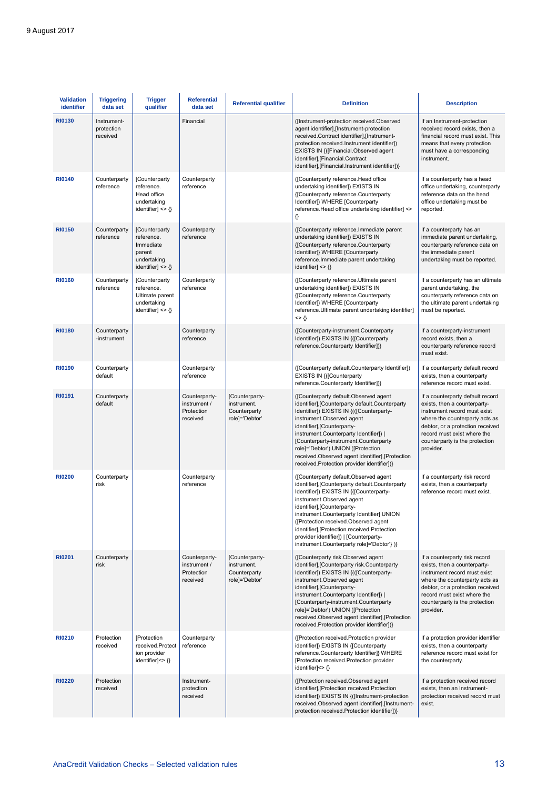| <b>Validation</b><br>identifier | <b>Triggering</b><br>data set         | <b>Trigger</b><br>qualifier                                                                        | <b>Referential</b><br>data set                          | <b>Referential qualifier</b>                                    | <b>Definition</b>                                                                                                                                                                                                                                                                                                                                                                                                            | <b>Description</b>                                                                                                                                                                                                                                   |
|---------------------------------|---------------------------------------|----------------------------------------------------------------------------------------------------|---------------------------------------------------------|-----------------------------------------------------------------|------------------------------------------------------------------------------------------------------------------------------------------------------------------------------------------------------------------------------------------------------------------------------------------------------------------------------------------------------------------------------------------------------------------------------|------------------------------------------------------------------------------------------------------------------------------------------------------------------------------------------------------------------------------------------------------|
| <b>RI0130</b>                   | Instrument-<br>protection<br>received |                                                                                                    | Financial                                               |                                                                 | ([Instrument-protection received.Observed<br>agent identifier],[Instrument-protection<br>received.Contract identifier],[Instrument-<br>protection received.Instrument identifier])<br>EXISTS IN {([Financial.Observed agent<br>identifier], [Financial.Contract<br>identifier], [Financial.Instrument identifier])}                                                                                                          | If an Instrument-protection<br>received record exists, then a<br>financial record must exist. This<br>means that every protection<br>must have a corresponding<br>instrument.                                                                        |
| <b>RI0140</b>                   | Counterparty<br>reference             | [Counterparty<br>reference.<br>Head office<br>undertaking<br>identifier] $\langle \rangle$         | Counterparty<br>reference                               |                                                                 | ([Counterparty reference.Head office<br>undertaking identifier]) EXISTS IN<br>{[Counterparty reference.Counterparty<br>Identifier]} WHERE [Counterparty<br>reference.Head office undertaking identifier] <><br>€                                                                                                                                                                                                             | If a counterparty has a head<br>office undertaking, counterparty<br>reference data on the head<br>office undertaking must be<br>reported.                                                                                                            |
| <b>RI0150</b>                   | Counterparty<br>reference             | [Counterparty<br>reference.<br>Immediate<br>parent<br>undertaking<br>identifier] $\langle \rangle$ | Counterparty<br>reference                               |                                                                 | ([Counterparty reference.Immediate parent<br>undertaking identifier]) EXISTS IN<br>{[Counterparty reference.Counterparty<br>Identifier]} WHERE [Counterparty<br>reference.Immediate parent undertaking<br>identifier] $\langle \rangle$                                                                                                                                                                                      | If a counterparty has an<br>immediate parent undertaking,<br>counterparty reference data on<br>the immediate parent<br>undertaking must be reported.                                                                                                 |
| <b>RI0160</b>                   | Counterparty<br>reference             | [Counterparty<br>reference.<br>Ultimate parent<br>undertaking<br>identifier] $\langle \rangle$     | Counterparty<br>reference                               |                                                                 | ([Counterparty reference.Ultimate parent<br>undertaking identifier]) EXISTS IN<br>{[Counterparty reference.Counterparty<br>Identifier]} WHERE [Counterparty<br>reference. Ultimate parent undertaking identifier]<br>$\left\{ \right\}$                                                                                                                                                                                      | If a counterparty has an ultimate<br>parent undertaking, the<br>counterparty reference data on<br>the ultimate parent undertaking<br>must be reported.                                                                                               |
| <b>RI0180</b>                   | Counterparty<br>-instrument           |                                                                                                    | Counterparty<br>reference                               |                                                                 | ([Counterparty-instrument.Counterparty<br>Identifier]) EXISTS IN {([Counterparty<br>reference.Counterparty Identifier])}                                                                                                                                                                                                                                                                                                     | If a counterparty-instrument<br>record exists, then a<br>counterparty reference record<br>must exist.                                                                                                                                                |
| <b>RI0190</b>                   | Counterparty<br>default               |                                                                                                    | Counterparty<br>reference                               |                                                                 | ([Counterparty default.Counterparty Identifier])<br>EXISTS IN {([Counterparty<br>reference.Counterparty Identifier])}                                                                                                                                                                                                                                                                                                        | If a counterparty default record<br>exists, then a counterparty<br>reference record must exist.                                                                                                                                                      |
| <b>RI0191</b>                   | Counterparty<br>default               |                                                                                                    | Counterparty-<br>instrument /<br>Protection<br>received | [Counterparty-<br>instrument.<br>Counterparty<br>role]='Debtor' | ([Counterparty default.Observed agent<br>identifier], [Counterparty default. Counterparty<br>Identifier]) EXISTS IN {(([Counterparty-<br>instrument.Observed agent<br>identifier], [Counterparty-<br>instrument.Counterparty Identifier])  <br>[Counterparty-instrument.Counterparty<br>role]='Debtor') UNION ([Protection<br>received.Observed agent identifier], [Protection<br>received.Protection provider identifier])} | If a counterparty default record<br>exists, then a counterparty-<br>instrument record must exist<br>where the counterparty acts as<br>debtor, or a protection received<br>record must exist where the<br>counterparty is the protection<br>provider. |
| <b>RI0200</b>                   | Counterparty<br>risk                  |                                                                                                    | Counterparty<br>reference                               |                                                                 | ([Counterparty default.Observed agent<br>identifier], [Counterparty default.Counterparty<br>Identifier]) EXISTS IN {([Counterparty-<br>instrument.Observed agent<br>identifier],[Counterparty-<br>instrument.Counterparty Identifier] UNION<br>([Protection received.Observed agent<br>identifier],[Protection received.Protection<br>provider identifier])   [Counterparty-<br>instrument.Counterparty role]='Debtor'} )}   | If a counterparty risk record<br>exists, then a counterparty<br>reference record must exist.                                                                                                                                                         |
| <b>RI0201</b>                   | Counterparty<br>risk                  |                                                                                                    | Counterparty-<br>instrument /<br>Protection<br>received | [Counterparty-<br>instrument.<br>Counterparty<br>role]='Debtor' | ([Counterparty risk.Observed agent<br>identifier], [Counterparty risk.Counterparty<br>Identifier]) EXISTS IN {(([Counterparty-<br>instrument.Observed agent<br>identifier], [Counterparty-<br>instrument.Counterparty Identifier])  <br>[Counterparty-instrument.Counterparty<br>role]='Debtor') UNION ([Protection<br>received.Observed agent identifier], [Protection<br>received.Protection provider identifier])}        | If a counterparty risk record<br>exists, then a counterparty-<br>instrument record must exist<br>where the counterparty acts as<br>debtor, or a protection received<br>record must exist where the<br>counterparty is the protection<br>provider.    |
| <b>RI0210</b>                   | Protection<br>received                | <b>[Protection</b><br>received.Protect<br>ion provider<br>identifier]<> {}                         | Counterparty<br>reference                               |                                                                 | ([Protection received.Protection provider<br>identifier]) EXISTS IN {[Counterparty<br>reference.Counterparty Identifier]} WHERE<br>[Protection received.Protection provider<br>identifier] $\langle \rangle$                                                                                                                                                                                                                 | If a protection provider identifier<br>exists, then a counterparty<br>reference record must exist for<br>the counterparty.                                                                                                                           |
| <b>RI0220</b>                   | Protection<br>received                |                                                                                                    | Instrument-<br>protection<br>received                   |                                                                 | ([Protection received.Observed agent<br>identifier],[Protection received.Protection<br>identifier]) EXISTS IN {([Instrument-protection<br>received.Observed agent identifier],[Instrument-<br>protection received.Protection identifier])}                                                                                                                                                                                   | If a protection received record<br>exists, then an Instrument-<br>protection received record must<br>exist.                                                                                                                                          |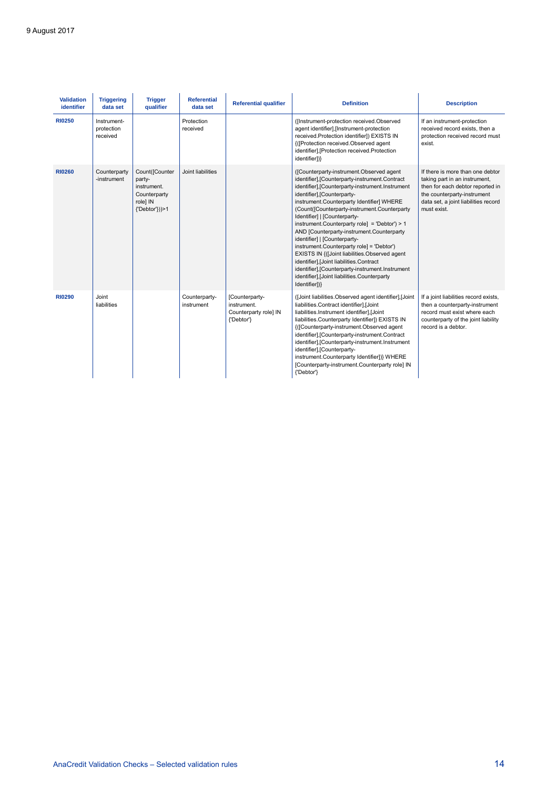| <b>Validation</b><br>identifier | <b>Triggering</b><br>data set         | <b>Trigger</b><br>qualifier                                                           | <b>Referential</b><br>data set | <b>Referential qualifier</b>                                         | <b>Definition</b>                                                                                                                                                                                                                                                                                                                                                                                                                                                                                                                                                                                                                                                                                  | <b>Description</b>                                                                                                                                                                          |
|---------------------------------|---------------------------------------|---------------------------------------------------------------------------------------|--------------------------------|----------------------------------------------------------------------|----------------------------------------------------------------------------------------------------------------------------------------------------------------------------------------------------------------------------------------------------------------------------------------------------------------------------------------------------------------------------------------------------------------------------------------------------------------------------------------------------------------------------------------------------------------------------------------------------------------------------------------------------------------------------------------------------|---------------------------------------------------------------------------------------------------------------------------------------------------------------------------------------------|
| <b>RI0250</b>                   | Instrument-<br>protection<br>received |                                                                                       | Protection<br>received         |                                                                      | ([Instrument-protection received.Observed<br>agent identifier].[Instrument-protection<br>received.Protection identifier]) EXISTS IN<br>{([Protection received.Observed agent<br>identifier], [Protection received.Protection<br>identifier])}                                                                                                                                                                                                                                                                                                                                                                                                                                                      | If an instrument-protection<br>received record exists, then a<br>protection received record must<br>exist.                                                                                  |
| <b>RI0260</b>                   | Counterparty<br>-instrument           | Count([Counter<br>party-<br>instrument.<br>Counterparty<br>role] IN<br>{'Debtor'}))>1 | Joint liabilities              |                                                                      | ([Counterparty-instrument.Observed agent<br>identifier],[Counterparty-instrument.Contract<br>identifier],[Counterparty-instrument.Instrument<br>identifier].[Counterparty-<br>instrument.Counterparty Identifier] WHERE<br>(Count([Counterparty-instrument.Counterparty<br>Identifier]   [Counterparty-<br>instrument.Counterparty role] = 'Debtor') > 1<br>AND [Counterparty-instrument.Counterparty<br>identifier]   [Counterparty-<br>instrument.Counterparty role] = 'Debtor')<br>EXISTS IN {(Joint liabilities.Observed agent<br>identifier], [Joint liabilities.Contract<br>identifier],[Counterparty-instrument.Instrument<br>identifier], [Joint liabilities.Counterparty<br>Identifier])} | If there is more than one debtor<br>taking part in an instrument,<br>then for each debtor reported in<br>the counterparty-instrument<br>data set, a joint liabilities record<br>must exist. |
| <b>RI0290</b>                   | Joint<br>liabilities                  |                                                                                       | Counterparty-<br>instrument    | [Counterparty-<br>instrument.<br>Counterparty role] IN<br>{'Debtor'} | (Joint liabilities.Observed agent identifier), Joint<br>liabilities.Contract identifier],[Joint<br>liabilities.Instrument identifier],[Joint<br>liabilities.Counterparty Identifier]) EXISTS IN<br>{([Counterparty-instrument.Observed agent<br>identifier],[Counterparty-instrument.Contract<br>identifier],[Counterparty-instrument.Instrument<br>identifier], [Counterparty-<br>instrument.Counterparty Identifier])} WHERE<br>[Counterparty-instrument.Counterparty role] IN<br>{'Debtor'}                                                                                                                                                                                                     | If a joint liabilities record exists,<br>then a counterparty-instrument<br>record must exist where each<br>counterparty of the joint liability<br>record is a debtor.                       |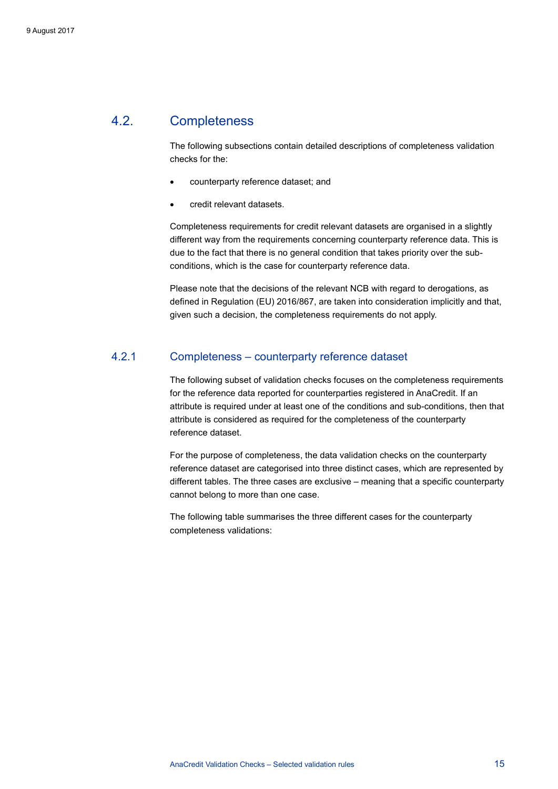### 4.2. Completeness

<span id="page-15-0"></span>The following subsections contain detailed descriptions of completeness validation checks for the:

- counterparty reference dataset; and
- credit relevant datasets.

Completeness requirements for credit relevant datasets are organised in a slightly different way from the requirements concerning counterparty reference data. This is due to the fact that there is no general condition that takes priority over the subconditions, which is the case for counterparty reference data.

<span id="page-15-1"></span>Please note that the decisions of the relevant NCB with regard to derogations, as defined in Regulation (EU) 2016/867, are taken into consideration implicitly and that, given such a decision, the completeness requirements do not apply.

### 4.2.1 Completeness – counterparty reference dataset

The following subset of validation checks focuses on the completeness requirements for the reference data reported for counterparties registered in AnaCredit. If an attribute is required under at least one of the conditions and sub-conditions, then that attribute is considered as required for the completeness of the counterparty reference dataset.

For the purpose of completeness, the data validation checks on the counterparty reference dataset are categorised into three distinct cases, which are represented by different tables. The three cases are exclusive – meaning that a specific counterparty cannot belong to more than one case.

The following table summarises the three different cases for the counterparty completeness validations: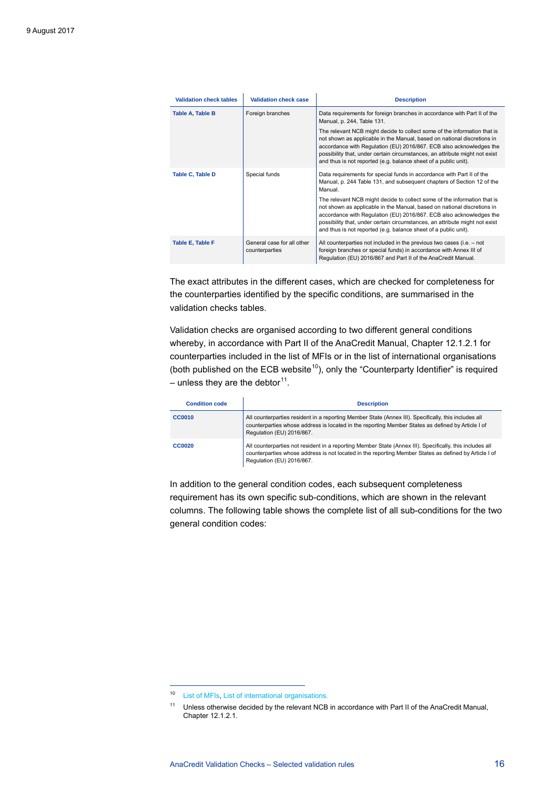| <b>Validation check tables</b> | <b>Validation check case</b>                 | <b>Description</b>                                                                                                                                                                                                                                                                                                                                                           |
|--------------------------------|----------------------------------------------|------------------------------------------------------------------------------------------------------------------------------------------------------------------------------------------------------------------------------------------------------------------------------------------------------------------------------------------------------------------------------|
| Table A, Table B               | Foreign branches                             | Data requirements for foreign branches in accordance with Part II of the<br>Manual, p. 244, Table 131.                                                                                                                                                                                                                                                                       |
|                                |                                              | The relevant NCB might decide to collect some of the information that is<br>not shown as applicable in the Manual, based on national discretions in<br>accordance with Regulation (EU) 2016/867. ECB also acknowledges the<br>possibility that, under certain circumstances, an attribute might not exist<br>and thus is not reported (e.g. balance sheet of a public unit). |
| Table C, Table D               | Special funds                                | Data requirements for special funds in accordance with Part II of the<br>Manual, p. 244 Table 131, and subsequent chapters of Section 12 of the<br>Manual.                                                                                                                                                                                                                   |
|                                |                                              | The relevant NCB might decide to collect some of the information that is<br>not shown as applicable in the Manual, based on national discretions in<br>accordance with Regulation (EU) 2016/867. ECB also acknowledges the<br>possibility that, under certain circumstances, an attribute might not exist<br>and thus is not reported (e.g. balance sheet of a public unit). |
| Table E, Table F               | General case for all other<br>counterparties | All counterparties not included in the previous two cases (i.e. – not<br>foreign branches or special funds) in accordance with Annex III of<br>Regulation (EU) 2016/867 and Part II of the AnaCredit Manual.                                                                                                                                                                 |

The exact attributes in the different cases, which are checked for completeness for the counterparties identified by the specific conditions, are summarised in the validation checks tables.

Validation checks are organised according to two different general conditions whereby, in accordance with Part II of the AnaCredit Manual, Chapter 12.1.2.1 for counterparties included in the list of MFIs or in the list of international organisations (both published on the ECB website<sup>10</sup>), only the "Counterparty Identifier" is required – unless they are the debtor<sup>[11](#page-16-1)</sup>.

| <b>Condition code</b> | <b>Description</b>                                                                                                                                                                                                                             |
|-----------------------|------------------------------------------------------------------------------------------------------------------------------------------------------------------------------------------------------------------------------------------------|
| <b>CC0010</b>         | All counterparties resident in a reporting Member State (Annex III). Specifically, this includes all<br>counterparties whose address is located in the reporting Member States as defined by Article I of<br>Regulation (EU) 2016/867.         |
| <b>CC0020</b>         | All counterparties not resident in a reporting Member State (Annex III). Specifically, this includes all<br>counterparties whose address is not located in the reporting Member States as defined by Article I of<br>Regulation (EU) 2016/867. |

In addition to the general condition codes, each subsequent completeness requirement has its own specific sub-conditions, which are shown in the relevant columns. The following table shows the complete list of all sub-conditions for the two general condition codes:

<span id="page-16-0"></span><sup>10</sup> [List of MFIs,](https://www.ecb.europa.eu/stats/financial_corporations/list_of_financial_institutions/html/index.en.html) [List of international organisations.](https://www.ecb.europa.eu/stats/money/aggregates/anacredit/shared/pdf/List_of_International_Organisations.xlsx)

<span id="page-16-1"></span><sup>11</sup> Unless otherwise decided by the relevant NCB in accordance with Part II of the AnaCredit Manual, Chapter 12.1.2.1.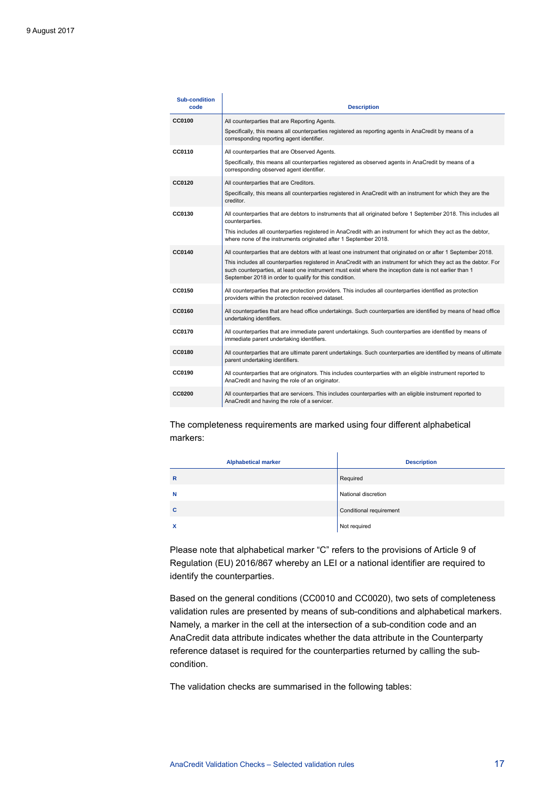| <b>Sub-condition</b><br>code | <b>Description</b>                                                                                                                                                                                                                                                                    |
|------------------------------|---------------------------------------------------------------------------------------------------------------------------------------------------------------------------------------------------------------------------------------------------------------------------------------|
| <b>CC0100</b>                | All counterparties that are Reporting Agents.                                                                                                                                                                                                                                         |
|                              | Specifically, this means all counterparties registered as reporting agents in AnaCredit by means of a<br>corresponding reporting agent identifier.                                                                                                                                    |
| CC0110                       | All counterparties that are Observed Agents.                                                                                                                                                                                                                                          |
|                              | Specifically, this means all counterparties registered as observed agents in AnaCredit by means of a<br>corresponding observed agent identifier.                                                                                                                                      |
| <b>CC0120</b>                | All counterparties that are Creditors.                                                                                                                                                                                                                                                |
|                              | Specifically, this means all counterparties registered in AnaCredit with an instrument for which they are the<br>creditor.                                                                                                                                                            |
| CC0130                       | All counterparties that are debtors to instruments that all originated before 1 September 2018. This includes all<br>counterparties.                                                                                                                                                  |
|                              | This includes all counterparties registered in AnaCredit with an instrument for which they act as the debtor,<br>where none of the instruments originated after 1 September 2018.                                                                                                     |
| CC0140                       | All counterparties that are debtors with at least one instrument that originated on or after 1 September 2018.                                                                                                                                                                        |
|                              | This includes all counterparties registered in AnaCredit with an instrument for which they act as the debtor. For<br>such counterparties, at least one instrument must exist where the inception date is not earlier than 1<br>September 2018 in order to qualify for this condition. |
| CC0150                       | All counterparties that are protection providers. This includes all counterparties identified as protection<br>providers within the protection received dataset.                                                                                                                      |
| CC0160                       | All counterparties that are head office undertakings. Such counterparties are identified by means of head office<br>undertaking identifiers.                                                                                                                                          |
| <b>CC0170</b>                | All counterparties that are immediate parent undertakings. Such counterparties are identified by means of<br>immediate parent undertaking identifiers.                                                                                                                                |
| <b>CC0180</b>                | All counterparties that are ultimate parent undertakings. Such counterparties are identified by means of ultimate<br>parent undertaking identifiers.                                                                                                                                  |
| CC0190                       | All counterparties that are originators. This includes counterparties with an eligible instrument reported to<br>AnaCredit and having the role of an originator.                                                                                                                      |
| <b>CC0200</b>                | All counterparties that are servicers. This includes counterparties with an eligible instrument reported to<br>AnaCredit and having the role of a servicer.                                                                                                                           |
|                              |                                                                                                                                                                                                                                                                                       |

 $\mathbf{I}$ 

The completeness requirements are marked using four different alphabetical markers:

| <b>Alphabetical marker</b> | <b>Description</b>      |
|----------------------------|-------------------------|
| $\mathsf{R}$               | Required                |
| N                          | National discretion     |
| C                          | Conditional requirement |
| X                          | Not required            |

 $\mathbf{I}$ 

Please note that alphabetical marker "C" refers to the provisions of Article 9 of Regulation (EU) 2016/867 whereby an LEI or a national identifier are required to identify the counterparties.

Based on the general conditions (CC0010 and CC0020), two sets of completeness validation rules are presented by means of sub-conditions and alphabetical markers. Namely, a marker in the cell at the intersection of a sub-condition code and an AnaCredit data attribute indicates whether the data attribute in the Counterparty reference dataset is required for the counterparties returned by calling the subcondition.

The validation checks are summarised in the following tables: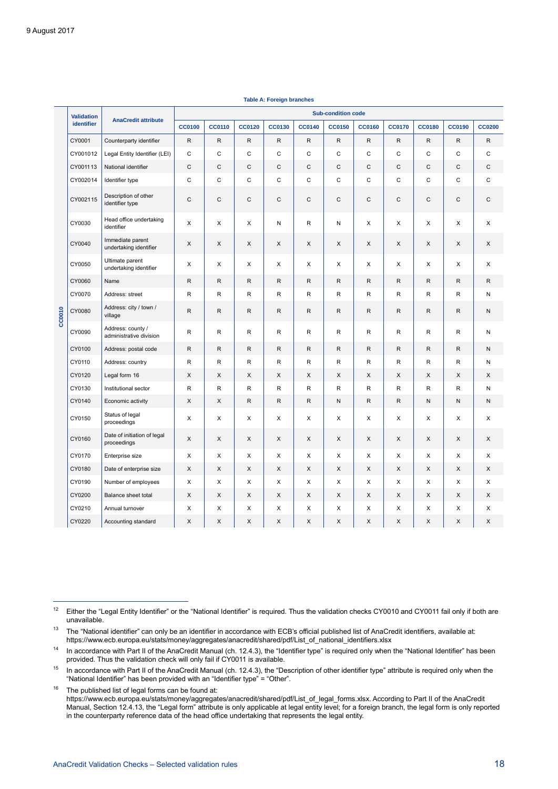<span id="page-18-5"></span> $\overline{a}$ 

| <b>Validation</b><br>identifier<br>CY0001<br>CY001012<br>CY001113<br>CY002014<br>CY002115 |        | <b>Sub-condition code</b>                    |               |               |               |               |               |               |               |               |               |               |                |
|-------------------------------------------------------------------------------------------|--------|----------------------------------------------|---------------|---------------|---------------|---------------|---------------|---------------|---------------|---------------|---------------|---------------|----------------|
|                                                                                           |        | <b>AnaCredit attribute</b>                   | <b>CC0100</b> | <b>CC0110</b> | <b>CC0120</b> | <b>CC0130</b> | <b>CC0140</b> | <b>CC0150</b> | <b>CC0160</b> | <b>CC0170</b> | <b>CC0180</b> | <b>CC0190</b> | <b>CC0200</b>  |
|                                                                                           |        | Counterparty identifier                      | $\mathsf{R}$  | ${\sf R}$     | ${\sf R}$     | ${\sf R}$     | ${\sf R}$     | $\mathsf{R}$  | R             | $\mathsf R$   | ${\sf R}$     | ${\sf R}$     | ${\sf R}$      |
|                                                                                           |        | Legal Entity Identifier (LEI)                | C             | C             | C             | C             | $\mathsf{C}$  | C             | C             | C             | C             | C             | C              |
|                                                                                           |        | National identifier                          | $\mathsf{C}$  | $\mathsf C$   | $\mathsf{C}$  | $\mathsf{C}$  | $\mathsf{C}$  | $\mathsf{C}$  | $\mathsf C$   | $\mathsf C$   | $\mathsf C$   | $\mathsf C$   | $\mathsf C$    |
|                                                                                           |        | Identifier type                              | $\mathsf{C}$  | $\mathsf C$   | $\mathsf C$   | $\mathsf{C}$  | $\mathsf C$   | $\mathsf{C}$  | $\mathsf C$   | $\mathbf C$   | $\mathsf C$   | $\mathsf C$   | $\mathsf C$    |
|                                                                                           |        | Description of other<br>identifier type      | $\mathsf{C}$  | $\mathsf C$   | $\mathsf C$   | $\mathsf C$   | $\mathsf C$   | $\mathsf C$   | $\mathbf C$   | $\mathbf C$   | C             | $\mathsf C$   | C              |
|                                                                                           | CY0030 | Head office undertaking<br>identifier        | X             | X             | X             | N             | $\mathsf{R}$  | N             | X             | X             | X             | X             | $\pmb{\times}$ |
|                                                                                           | CY0040 | Immediate parent<br>undertaking identifier   | X             | X             | X             | X             | X             | X             | X             | X             | X             | X             | X              |
|                                                                                           | CY0050 | Ultimate parent<br>undertaking identifier    | X             | X             | X             | X             | X             | X             | X             | X             | X             | X             | X              |
|                                                                                           | CY0060 | Name                                         | $\mathsf R$   | $\mathsf{R}$  | $\mathsf{R}$  | $\mathsf{R}$  | $\mathsf{R}$  | $\mathsf{R}$  | R             | $\mathsf{R}$  | $\mathsf{R}$  | $\mathsf{R}$  | $\mathsf{R}$   |
|                                                                                           | CY0070 | Address: street                              | $\mathsf{R}$  | R             | $\mathsf{R}$  | $\mathsf{R}$  | $\mathsf{R}$  | $\mathsf{R}$  | R             | R             | R             | R             | N              |
| CC0010                                                                                    | CY0080 | Address: city / town /<br>village            | $\mathsf{R}$  | $\mathsf{R}$  | $\mathsf{R}$  | $\mathsf{R}$  | $\mathsf{R}$  | $\mathsf{R}$  | R             | $\mathsf{R}$  | $\mathsf{R}$  | $\mathsf{R}$  | N              |
|                                                                                           | CY0090 | Address: county /<br>administrative division | R             | R             | R             | R             | R             | R             | R             | R             | R             | R             | N              |
|                                                                                           | CY0100 | Address: postal code                         | $\mathsf{R}$  | R             | $\mathsf{R}$  | R             | $\mathsf{R}$  | R             | R             | $\mathsf{R}$  | $\mathsf{R}$  | $\mathsf{R}$  | ${\sf N}$      |
|                                                                                           | CY0110 | Address: country                             | R             | R             | R             | R             | R             | R             | R             | R             | R             | R             | N              |
|                                                                                           | CY0120 | Legal form 16                                | X             | X             | X             | X             | X             | X             | X             | X             | X             | X             | X              |
|                                                                                           | CY0130 | Institutional sector                         | R             | R             | $\mathsf{R}$  | R             | R             | R             | R             | R             | R             | R             | N              |
|                                                                                           | CY0140 | Economic activity                            | X             | X             | $\mathsf{R}$  | $\mathsf{R}$  | $\mathsf{R}$  | N             | $\mathsf{R}$  | $\mathsf{R}$  | ${\sf N}$     | N             | $\mathsf N$    |
|                                                                                           | CY0150 | Status of legal<br>proceedings               | X             | X             | X             | X             | X             | X             | X             | X             | X             | X             | X              |
|                                                                                           | CY0160 | Date of initiation of legal<br>proceedings   | X             | X             | X             | X             | X             | X             | X             | X             | X             | X             | X              |
|                                                                                           | CY0170 | Enterprise size                              | X             | X             | X             | X             | X             | X             | X             | X             | X             | X             | X              |
|                                                                                           | CY0180 | Date of enterprise size                      | X             | X             | X             | X             | X             | X             | X             | X             | X             | X             | X              |
|                                                                                           | CY0190 | Number of employees                          | X             | X             | X             | X             | X             | X             | X             | X             | X             | X             | X              |
|                                                                                           | CY0200 | Balance sheet total                          | X             | X             | X             | X             | X             | X             | X             | X             | X             | X             | X              |
|                                                                                           | CY0210 | Annual turnover                              | X             | X             | X             | X             | X             | X             | X             | X             | X             | X             | X              |
|                                                                                           | CY0220 | Accounting standard                          | X             | X             | X             | X             | X             | X             | X             | X             | X             | X             | X              |

**Table A: Foreign branches**

<span id="page-18-0"></span><sup>&</sup>lt;sup>12</sup> Either the "Legal Entity Identifier" or the "National Identifier" is required. Thus the validation checks CY0010 and CY0011 fail only if both are unavailable.

<span id="page-18-1"></span><sup>&</sup>lt;sup>13</sup> The "National identifier" can only be an identifier in accordance with ECB's official published list of AnaCredit identifiers, available at: [https://www.ecb.europa.eu/stats/money/aggregates/anacredit/shared/pdf/List\\_of\\_national\\_identifiers.xlsx](https://www.ecb.europa.eu/stats/money/aggregates/anacredit/shared/pdf/List_of_national_identifiers.xlsx)

<span id="page-18-2"></span><sup>&</sup>lt;sup>14</sup> In accordance with Part II of the AnaCredit Manual (ch. 12.4.3), the "Identifier type" is required only when the "National Identifier" has been provided. Thus the validation check will only fail if CY0011 is available.

<span id="page-18-3"></span><sup>&</sup>lt;sup>15</sup> In accordance with Part II of the AnaCredit Manual (ch. 12.4.3), the "Description of other identifier type" attribute is required only when the "National Identifier" has been provided with an "Identifier type" = "Other".

<span id="page-18-4"></span> $16$  The published list of legal forms can be found at: [https://www.ecb.europa.eu/stats/money/aggregates/anacredit/shared/pdf/List\\_of\\_legal\\_forms.xlsx.](https://www.ecb.europa.eu/stats/money/aggregates/anacredit/shared/pdf/List_of_legal_forms.xlsx) According to Part II of the AnaCredit Manual, Section 12.4.13, the "Legal form" attribute is only applicable at legal entity level; for a foreign branch, the legal form is only reported in the counterparty reference data of the head office undertaking that represents the legal entity.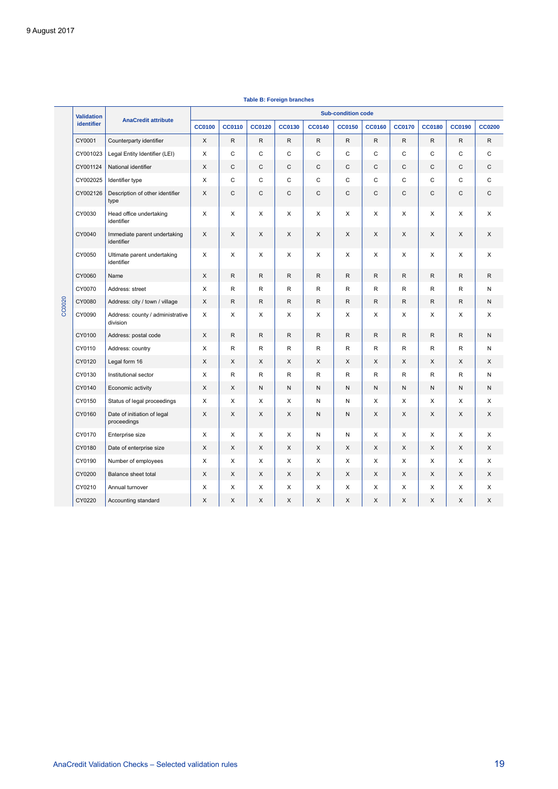|        | <b>Validation</b> | <b>AnaCredit attribute</b>                   | <b>Sub-condition code</b> |               |               |               |               |               |               |               |               |               |               |
|--------|-------------------|----------------------------------------------|---------------------------|---------------|---------------|---------------|---------------|---------------|---------------|---------------|---------------|---------------|---------------|
|        | identifier        |                                              | <b>CC0100</b>             | <b>CC0110</b> | <b>CC0120</b> | <b>CC0130</b> | <b>CC0140</b> | <b>CC0150</b> | <b>CC0160</b> | <b>CC0170</b> | <b>CC0180</b> | <b>CC0190</b> | <b>CC0200</b> |
|        | CY0001            | Counterparty identifier                      | X                         | $\mathsf{R}$  | R             | R             | $\mathsf{R}$  | R             | $\mathsf R$   | R             | R             | R             | R             |
|        | CY001023          | Legal Entity Identifier (LEI)                | X                         | C             | $\mathsf{C}$  | C             | $\mathsf{C}$  | C             | C             | C             | C             | C             | C             |
|        | CY001124          | National identifier                          | X                         | $\mathsf C$   | $\mathsf C$   | $\mathsf C$   | $\mathsf{C}$  | C             | C             | C             | C             | $\mathsf C$   | C             |
|        | CY002025          | Identifier type                              | X                         | $\mathsf{C}$  | $\mathsf C$   | C             | C             | C             | C             | C             | C             | $\mathsf C$   | C             |
|        | CY002126          | Description of other identifier<br>type      | X                         | $\mathsf C$   | $\mathsf C$   | $\mathsf C$   | $\mathsf{C}$  | C             | C             | C             | C             | $\mathsf C$   | $\mathsf C$   |
|        | CY0030            | Head office undertaking<br>identifier        | X                         | X             | X             | X             | X             | X             | X             | X             | X             | X             | X             |
|        | CY0040            | Immediate parent undertaking<br>identifier   | X                         | X             | X             | X             | X             | X             | X             | X             | X             | X             | X             |
|        | CY0050            | Ultimate parent undertaking<br>identifier    | X                         | X             | X             | X             | X             | X             | X             | X             | X             | X             | X             |
|        | CY0060            | Name                                         | X                         | $\mathsf{R}$  | $\mathsf{R}$  | $\mathsf{R}$  | $\mathsf R$   | R             | $\mathsf{R}$  | R             | R             | $\mathsf{R}$  | ${\sf R}$     |
| CC0020 | CY0070            | Address: street                              | X                         | R             | R             | R             | R             | R             | R             | R             | R             | R             | N             |
|        | CY0080            | Address: city / town / village               | X                         | R             | R             | R             | $\mathsf{R}$  | R             | R             | R             | R             | R             | N             |
|        | CY0090            | Address: county / administrative<br>division | X                         | X             | X             | X             | X             | X             | X             | X             | X             | X             | X             |
|        | CY0100            | Address: postal code                         | X                         | $\mathsf{R}$  | $\mathsf{R}$  | $\mathsf{R}$  | $\mathsf R$   | R             | R             | R             | $\mathsf{R}$  | $\mathsf{R}$  | N             |
|        | CY0110            | Address: country                             | X                         | R             | R             | R             | $\mathsf{R}$  | R             | R             | R             | R             | R             | N             |
|        | CY0120            | Legal form 16                                | X                         | X             | X             | X             | X             | X             | X             | X             | X             | X             | X             |
|        | CY0130            | Institutional sector                         | X                         | R             | R             | R             | $\mathsf{R}$  | R             | R             | R             | R             | R             | N             |
|        | CY0140            | Economic activity                            | X                         | X             | N             | ${\sf N}$     | $\mathsf{N}$  | N             | N             | N             | N             | $\sf N$       | N             |
|        | CY0150            | Status of legal proceedings                  | X                         | X             | X             | X             | N             | Ν             | X             | X             | X             | X             | X             |
|        | CY0160            | Date of initiation of legal<br>proceedings   | X                         | X             | X             | X             | ${\sf N}$     | N             | X             | X             | X             | X             | X             |
|        | CY0170            | Enterprise size                              | X                         | X             | X             | X             | N             | Ν             | X             | X             | X             | X             | X             |
|        | CY0180            | Date of enterprise size                      | X                         | X             | X             | X             | X             | X             | X             | X             | X             | X             | X             |
|        | CY0190            | Number of employees                          | X                         | X             | X             | X             | X             | X             | X             | X             | Х             | X             | X             |
|        | CY0200            | Balance sheet total                          | X                         | X             | X             | X             | X             | X             | X             | X             | X             | X             | X             |
|        | CY0210            | Annual turnover                              | X                         | X             | X             | X             | X             | X             | X             | X             | X             | X             | X             |
|        | CY0220            | Accounting standard                          | X                         | X             | X             | X             | X             | X             | X             | X             | X             | X             | X             |

#### **Table B: Foreign branches**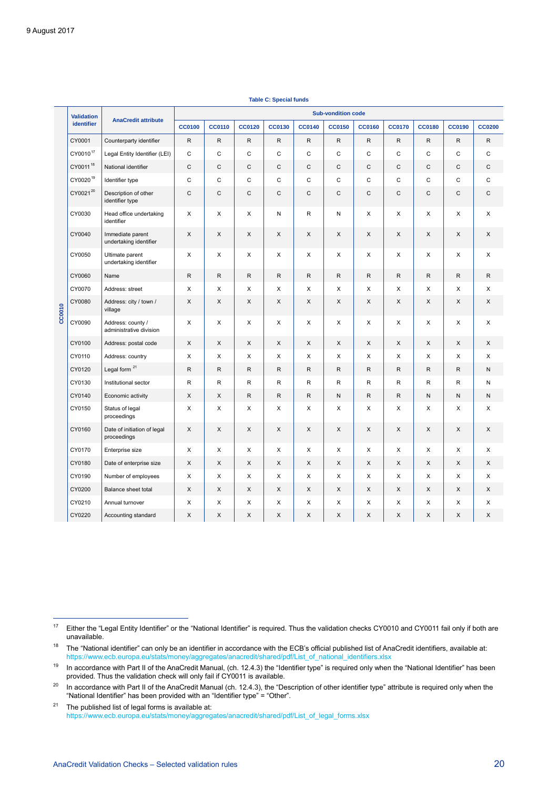|        | <b>Validation</b>    |                                              | <b>Sub-vondition code</b> |               |               |               |               |               |               |               |               |               |               |
|--------|----------------------|----------------------------------------------|---------------------------|---------------|---------------|---------------|---------------|---------------|---------------|---------------|---------------|---------------|---------------|
|        | identifier           | <b>AnaCredit attribute</b>                   | <b>CC0100</b>             | <b>CC0110</b> | <b>CC0120</b> | <b>CC0130</b> | <b>CC0140</b> | <b>CC0150</b> | <b>CC0160</b> | <b>CC0170</b> | <b>CC0180</b> | <b>CC0190</b> | <b>CC0200</b> |
|        | CY0001               | Counterparty identifier                      | $\mathsf{R}$              | $\mathsf{R}$  | R             | R             | R             | $\mathsf{R}$  | $\mathsf{R}$  | R             | R             | $\mathsf{R}$  | $\mathsf{R}$  |
|        | CY0010 <sup>17</sup> | Legal Entity Identifier (LEI)                | $\mathsf C$               | $\mathsf C$   | C             | C             | $\mathbf C$   | C             | $\mathsf C$   | C             | $\mathbf C$   | $\mathbf C$   | $\mathsf C$   |
|        | CY0011 <sup>18</sup> | National identifier                          | $\mathsf C$               | $\mathsf C$   | $\mathsf C$   | C             | $\mathsf C$   | C             | $\mathsf C$   | C             | C             | C             | $\mathsf C$   |
|        | CY0020 <sup>19</sup> | Identifier type                              | $\mathsf C$               | $\mathsf C$   | C             | $\mathbf C$   | $\mathbf C$   | $\mathsf C$   | $\mathsf C$   | $\mathsf C$   | $\mathsf C$   | $\mathsf C$   | $\mathsf C$   |
|        | CY002120             | Description of other<br>identifier type      | $\mathsf C$               | $\mathsf{C}$  | $\mathsf C$   | $\mathsf{C}$  | $\mathsf C$   | $\mathsf{C}$  | $\mathsf C$   | $\mathsf{C}$  | C             | $\mathsf{C}$  | $\mathbf C$   |
|        | CY0030               | Head office undertaking<br>identifier        | X                         | X             | X             | N             | R             | ${\sf N}$     | X             | X             | X             | X             | X             |
|        | CY0040               | Immediate parent<br>undertaking identifier   | X                         | X             | X             | X             | X             | X             | X             | X             | X             | X             | X             |
|        | CY0050               | Ultimate parent<br>undertaking identifier    | X                         | X             | X             | X             | X             | X             | X             | X             | X             | X             | X             |
|        | CY0060               | Name                                         | $\mathsf{R}$              | $\mathsf{R}$  | $\mathsf{R}$  | $\mathsf{R}$  | $\mathsf{R}$  | $\mathsf{R}$  | $\mathsf{R}$  | R             | $\mathsf{R}$  | $\mathsf{R}$  | R             |
|        | CY0070               | Address: street                              | X                         | X             | X             | X             | X             | X             | X             | X             | X             | X             | X             |
| CC0010 | CY0080               | Address: city / town /<br>village            | X                         | X             | X             | X             | X             | X             | X             | X             | X             | X             | X             |
|        | CY0090               | Address: county /<br>administrative division | X                         | X             | X             | X             | X             | X             | X             | X             | X             | X             | X             |
|        | CY0100               | Address: postal code                         | X                         | X             | X             | X             | X             | X             | X             | X             | X             | X             | X             |
|        | CY0110               | Address: country                             | X                         | X             | X             | X             | X             | X             | X             | X             | X             | X             | X             |
|        | CY0120               | Legal form <sup>21</sup>                     | $\mathsf{R}$              | $\mathsf{R}$  | $\mathsf{R}$  | R.            | R             | $\mathsf{R}$  | R             | R.            | R             | $\mathsf{R}$  | N             |
|        | CY0130               | Institutional sector                         | R                         | R             | R             | R             | R             | R             | R             | R             | R             | R             | Ν             |
|        | CY0140               | Economic activity                            | X                         | $\times$      | R             | R.            | $\mathsf{R}$  | N             | $\mathsf{R}$  | R.            | N             | N             | N             |
|        | CY0150               | Status of legal<br>proceedings               | X                         | X             | X             | X             | X             | X             | X             | X             | X             | X             | X             |
|        | CY0160               | Date of initiation of legal<br>proceedings   | X                         | X             | X             | X             | X             | X             | X             | X             | X             | X             | X             |
|        | CY0170               | Enterprise size                              | X                         | X             | X             | X             | X             | X             | X             | X             | X             | X             | X             |
|        | CY0180               | Date of enterprise size                      | X                         | X             | X             | X             | X             | X             | X             | X             | X             | X             | X             |
|        | CY0190               | Number of employees                          | X                         | X             | X             | X             | X             | X             | X             | X             | X             | X             | X             |
|        | CY0200               | Balance sheet total                          | X                         | X             | X             | X             | X             | X             | X             | X             | X             | X             | X             |
|        | CY0210               | Annual turnover                              | X                         | X             | X             | X             | X             | X             | X             | X             | X             | X             | X             |
|        | CY0220               | Accounting standard                          | X                         | X             | X             | X             | X             | X             | X             | X             | X             | X             | X             |

**Table C: Special funds**

<span id="page-20-0"></span><sup>&</sup>lt;sup>17</sup> Either the "Legal Entity Identifier" or the "National Identifier" is required. Thus the validation checks CY0010 and CY0011 fail only if both are unavailable.

<span id="page-20-1"></span> $18$  The "National identifier" can only be an identifier in accordance with the ECB's official published list of AnaCredit identifiers, available at: [https://www.ecb.europa.eu/stats/money/aggregates/anacredit/shared/pdf/List\\_of\\_national\\_identifiers.xlsx](https://www.ecb.europa.eu/stats/money/aggregates/anacredit/shared/pdf/List_of_national_identifiers.xlsx)

<span id="page-20-2"></span> $19$  In accordance with Part II of the AnaCredit Manual, (ch. 12.4.3) the "Identifier type" is required only when the "National Identifier" has been provided. Thus the validation check will only fail if CY0011 is available.

<span id="page-20-3"></span><sup>&</sup>lt;sup>20</sup> In accordance with Part II of the AnaCredit Manual (ch. 12.4.3), the "Description of other identifier type" attribute is required only when the "National Identifier" has been provided with an "Identifier type" = "Other".

<span id="page-20-4"></span> $21$  The published list of legal forms is available at: [https://www.ecb.europa.eu/stats/money/aggregates/anacredit/shared/pdf/List\\_of\\_legal\\_forms.xlsx](https://www.ecb.europa.eu/stats/money/aggregates/anacredit/shared/pdf/List_of_legal_forms.xlsx)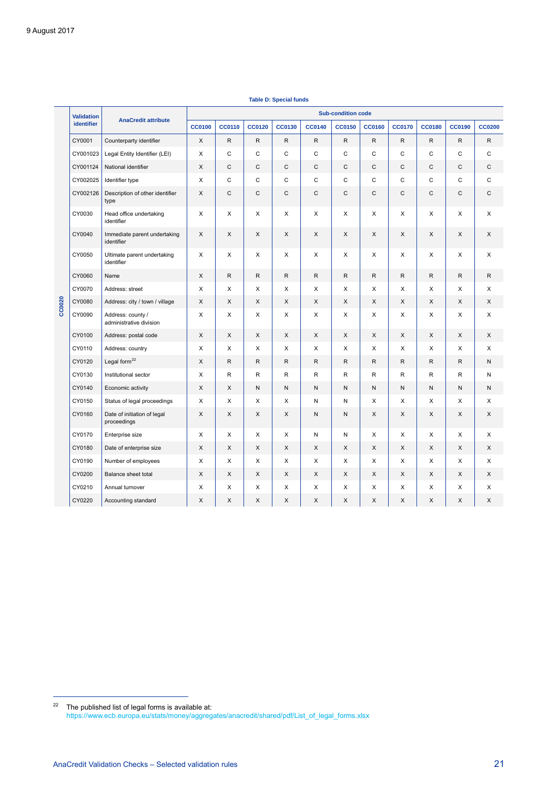|        | <b>Validation</b> | <b>AnaCredit attribute</b>                   | <b>Sub-condition code</b> |               |               |               |               |               |               |               |               |               |               |
|--------|-------------------|----------------------------------------------|---------------------------|---------------|---------------|---------------|---------------|---------------|---------------|---------------|---------------|---------------|---------------|
|        | identifier        |                                              | <b>CC0100</b>             | <b>CC0110</b> | <b>CC0120</b> | <b>CC0130</b> | <b>CC0140</b> | <b>CC0150</b> | <b>CC0160</b> | <b>CC0170</b> | <b>CC0180</b> | <b>CC0190</b> | <b>CC0200</b> |
|        | CY0001            | Counterparty identifier                      | X                         | $\mathsf{R}$  | $\mathsf{R}$  | $\mathsf{R}$  | $\mathsf{R}$  | $\mathsf{R}$  | R             | $\mathsf{R}$  | ${\sf R}$     | $\mathsf{R}$  | R             |
|        | CY001023          | Legal Entity Identifier (LEI)                | X                         | $\mathsf{C}$  | $\mathsf{C}$  | $\mathsf{C}$  | $\mathsf{C}$  | C             | C             | $\mathsf{C}$  | $\mathsf{C}$  | C             | C             |
|        | CY001124          | National identifier                          | X                         | $\mathsf C$   | C             | $\mathsf C$   | $\mathsf{C}$  | $\mathsf C$   | C             | $\mathsf{C}$  | $\mathsf C$   | C             | C             |
|        | CY002025          | Identifier type                              | X                         | $\mathsf{C}$  | $\mathsf{C}$  | $\mathsf{C}$  | $\mathsf{C}$  | $\mathsf C$   | C             | $\mathsf{C}$  | $\mathsf{C}$  | C             | C             |
|        | CY002126          | Description of other identifier<br>type      | X                         | C             | C             | C             | $\mathsf{C}$  | $\mathsf C$   | C             | $\mathsf{C}$  | C             | C             | C             |
|        | CY0030            | Head office undertaking<br>identifier        | X                         | X             | X             | X             | X             | X             | X             | X             | X             | X             | X             |
|        | CY0040            | Immediate parent undertaking<br>identifier   | X                         | X             | X             | X             | X             | X             | X             | X             | X             | X             | X             |
|        | CY0050            | Ultimate parent undertaking<br>identifier    | X                         | X             | X             | X             | X             | X             | X             | $\times$      | X             | X             | X             |
| CC0020 | CY0060            | Name                                         | X                         | R             | $\mathsf{R}$  | $\mathsf{R}$  | $\mathsf{R}$  | $\mathsf{R}$  | R             | R             | $\mathsf{R}$  | $\mathsf{R}$  | R             |
|        | CY0070            | Address: street                              | X                         | X             | X             | X             | X             | X             | X             | X             | X             | X             | X             |
|        | CY0080            | Address: city / town / village               | X                         | X             | X             | X             | X             | X             | X             | X             | X             | X             | X             |
|        | CY0090            | Address: county /<br>administrative division | X                         | X             | X             | X             | X             | X             | X             | X             | X             | X             | X             |
|        | CY0100            | Address: postal code                         | X                         | X             | X             | X             | X             | X             | X             | X             | X             | X             | X             |
|        | CY0110            | Address: country                             | X                         | X             | X             | X             | X             | X             | X             | X             | X             | X             | X             |
|        | CY0120            | Legal form <sup>22</sup>                     | X                         | R             | R.            | $\mathsf{R}$  | $\mathsf{R}$  | R             | R.            | R             | $\mathsf{R}$  | $\mathsf{R}$  | N             |
|        | CY0130            | Institutional sector                         | X                         | R             | R             | R             | R             | R             | R             | $\mathsf{R}$  | R             | R             | N             |
|        | CY0140            | Economic activity                            | X                         | X             | $\sf N$       | N             | N             | N             | N             | ${\sf N}$     | ${\sf N}$     | N             | N             |
|        | CY0150            | Status of legal proceedings                  | X                         | X             | X             | X             | N             | Ν             | X             | X             | X             | X             | X             |
|        | CY0160            | Date of initiation of legal<br>proceedings   | X                         | X             | X             | X             | N             | N             | X             | X             | X             | X             | X             |
|        | CY0170            | Enterprise size                              | X                         | X             | X             | X             | N             | Ν             | X             | X             | X             | X             | X             |
|        | CY0180            | Date of enterprise size                      | X                         | X             | X             | $\times$      | X             | X             | X             | X             | $\times$      | X             | X             |
|        | CY0190            | Number of employees                          | X                         | X             | X             | X             | X             | X             | X             | X             | X             | X             | X             |
|        | CY0200            | Balance sheet total                          | X                         | X             | X             | X             | X             | X             | X             | X             | X             | X             | X             |
|        | CY0210            | Annual turnover                              | X                         | X             | X             | X             | X             | X             | X             | X             | X             | X             | X             |
|        | CY0220            | Accounting standard                          | X                         | X             | X             | X             | X             | X             | X             | X             | X             | X             | X             |

**Table D: Special funds**

<span id="page-21-0"></span> $22$  The published list of legal forms is available at: [https://www.ecb.europa.eu/stats/money/aggregates/anacredit/shared/pdf/List\\_of\\_legal\\_forms.xlsx](https://www.ecb.europa.eu/stats/money/aggregates/anacredit/shared/pdf/List_of_legal_forms.xlsx)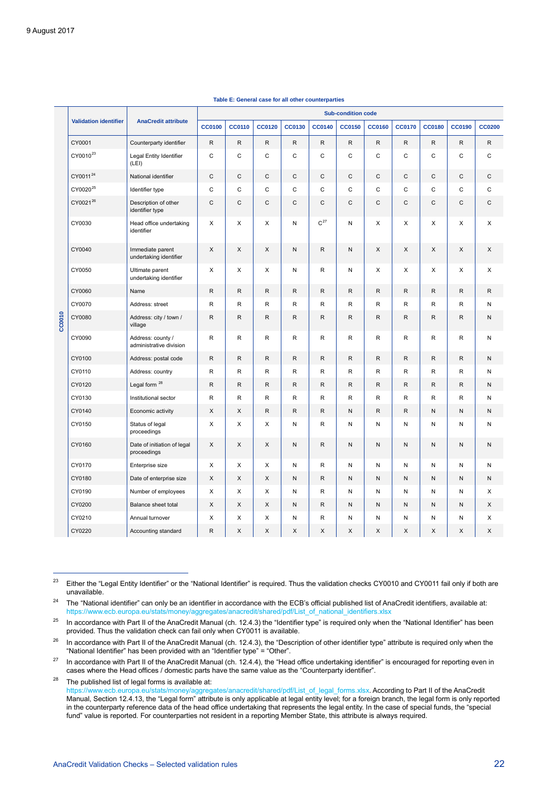<span id="page-22-3"></span><span id="page-22-2"></span><span id="page-22-1"></span><span id="page-22-0"></span>

|        |                              |                                              | <b>Sub-condition code</b> |               |               |               |                   |               |               |               |               |               |               |
|--------|------------------------------|----------------------------------------------|---------------------------|---------------|---------------|---------------|-------------------|---------------|---------------|---------------|---------------|---------------|---------------|
|        | <b>Validation identifier</b> | <b>AnaCredit attribute</b>                   | <b>CC0100</b>             | <b>CC0110</b> | <b>CC0120</b> | <b>CC0130</b> | <b>CC0140</b>     | <b>CC0150</b> | <b>CC0160</b> | <b>CC0170</b> | <b>CC0180</b> | <b>CC0190</b> | <b>CC0200</b> |
|        | CY0001                       | Counterparty identifier                      | $\mathsf{R}$              | $\mathsf{R}$  | $\mathsf{R}$  | $\mathsf{R}$  | $\mathsf{R}$      | R             | $\mathsf{R}$  | $\mathsf R$   | R.            | $\mathsf{R}$  | $\mathsf{R}$  |
|        | CY0010 <sup>23</sup>         | Legal Entity Identifier<br>(LEI)             | C                         | C             | C             | $\mathbf C$   | $\mathsf{C}$      | C             | C             | C             | C             | C             | $\mathsf{C}$  |
|        | CY0011 <sup>24</sup>         | National identifier                          | C                         | $\mathsf{C}$  | $\mathsf{C}$  | $\mathsf C$   | $\mathsf{C}$      | $\mathsf{C}$  | $\mathsf{C}$  | $\mathsf{C}$  | $\mathsf{C}$  | $\mathsf{C}$  | $\mathsf{C}$  |
|        | CY0020 <sup>25</sup>         | Identifier type                              | C                         | C             | C             | $\mathbf C$   | C                 | C             | $\mathsf{C}$  | C             | C             | C             | C             |
|        | CY0021 <sup>26</sup>         | Description of other<br>identifier type      | C                         | C             | C             | C             | $\mathsf C$       | C             | C             | $\mathsf{C}$  | C             | C             | $\mathsf C$   |
|        | CY0030                       | Head office undertaking<br>identifier        | X                         | X             | X             | N             | $\mathrm{C}^{27}$ | N             | X             | X             | X             | X             | X             |
|        | CY0040                       | Immediate parent<br>undertaking identifier   | X                         | X             | X             | ${\sf N}$     | $\mathsf{R}$      | N             | X             | X             | X             | X             | X             |
|        | CY0050                       | Ultimate parent<br>undertaking identifier    | X                         | X             | X             | N             | R                 | N             | X             | X             | X             | X             | X             |
|        | CY0060                       | Name                                         | $\mathsf{R}$              | $\mathsf{R}$  | $\mathsf{R}$  | $\mathsf{R}$  | $\mathsf{R}$      | R             | $\mathsf{R}$  | R             | R.            | $\mathsf{R}$  | $\mathsf{R}$  |
|        | CY0070                       | Address: street                              | $\mathsf{R}$              | R             | R             | R             | R                 | R             | R             | R             | R             | R             | N             |
| CC0010 | CY0080                       | Address: city / town /<br>village            | R                         | R             | R.            | R             | R                 | R             | R             | R             | R.            | $\mathsf{R}$  | N             |
|        | CY0090                       | Address: county /<br>administrative division | R                         | R             | R             | $\mathsf{R}$  | R                 | R             | R             | R             | R             | R             | ${\sf N}$     |
|        | CY0100                       | Address: postal code                         | R                         | $\mathsf R$   | R             | $\mathsf{R}$  | R                 | R             | ${\sf R}$     | $\mathsf{R}$  | R             | R             | ${\sf N}$     |
|        | CY0110                       | Address: country                             | R                         | R             | $\mathsf R$   | R             | R                 | R             | $\mathsf R$   | $\mathsf R$   | R             | $\mathsf{R}$  | Ν             |
|        | CY0120                       | Legal form <sup>28</sup>                     | R                         | R             | R             | R             | R                 | R             | $\mathsf{R}$  | $\mathsf{R}$  | R             | $\mathsf{R}$  | N             |
|        | CY0130                       | Institutional sector                         | R                         | R             | R             | R             | R                 | R             | R             | R             | R             | R             | N             |
|        | CY0140                       | Economic activity                            | X                         | X             | $\mathsf{R}$  | $\mathsf{R}$  | $\mathsf{R}$      | N             | $\mathsf{R}$  | ${\sf R}$     | N             | ${\sf N}$     | ${\sf N}$     |
|        | CY0150                       | Status of legal<br>proceedings               | X                         | X             | X             | N             | $\mathsf{R}$      | N             | $\mathsf{N}$  | $\mathsf{N}$  | N             | $\mathsf{N}$  | N             |
|        | CY0160                       | Date of initiation of legal<br>proceedings   | X                         | X             | X             | N             | $\mathsf{R}$      | N             | N             | $\mathsf{N}$  | N             | ${\sf N}$     | ${\sf N}$     |
|        | CY0170                       | Enterprise size                              | X                         | X             | X             | N             | R                 | N             | N             | N             | Ν             | N             | N             |
|        | CY0180                       | Date of enterprise size                      | X                         | X             | X             | N             | R                 | N             | N             | N             | N             | N             | ${\sf N}$     |
|        | CY0190                       | Number of employees                          | X                         | Χ             | X             | N             | R                 | N             | N             | N             | N             | N             | X             |
|        | CY0200                       | Balance sheet total                          | X                         | X             | X             | N             | $\mathsf{R}$      | N             | N             | $\mathsf{N}$  | N             | N             | X             |
|        | CY0210                       | Annual turnover                              | X                         | X             | X             | N             | R                 | N             | N             | N             | N             | N             | X             |
|        | CY0220                       | Accounting standard                          | R                         | X             | X             | X             | X                 | X             | X             | X             | X             | X             | X             |

#### **Table E: General case for all other counterparties**

<span id="page-22-4"></span><sup>23</sup> Either the "Legal Entity Identifier" or the "National Identifier" is required. Thus the validation checks CY0010 and CY0011 fail only if both are unavailable.

<span id="page-22-5"></span><sup>24</sup> The "National identifier" can only be an identifier in accordance with the ECB's official published list of AnaCredit identifiers, available at: [https://www.ecb.europa.eu/stats/money/aggregates/anacredit/shared/pdf/List\\_of\\_national\\_identifiers.xlsx](https://www.ecb.europa.eu/stats/money/aggregates/anacredit/shared/pdf/List_of_national_identifiers.xlsx)

<span id="page-22-6"></span><sup>25</sup> In accordance with Part II of the AnaCredit Manual (ch. 12.4.3) the "Identifier type" is required only when the "National Identifier" has been provided. Thus the validation check can fail only when CY0011 is available.

<span id="page-22-7"></span> $26$  In accordance with Part II of the AnaCredit Manual (ch. 12.4.3), the "Description of other identifier type" attribute is required only when the "National Identifier" has been provided with an "Identifier type" = "Other".

<span id="page-22-8"></span><sup>27</sup> In accordance with Part II of the AnaCredit Manual (ch. 12.4.4), the "Head office undertaking identifier" is encouraged for reporting even in cases where the Head offices / domestic parts have the same value as the "Counterparty identifier".

<span id="page-22-9"></span> $28$  The published list of legal forms is available at:

[https://www.ecb.europa.eu/stats/money/aggregates/anacredit/shared/pdf/List\\_of\\_legal\\_forms.xlsx.](https://www.ecb.europa.eu/stats/money/aggregates/anacredit/shared/pdf/List_of_legal_forms.xlsx) According to Part II of the AnaCredit Manual, Section 12.4.13, the "Legal form" attribute is only applicable at legal entity level; for a foreign branch, the legal form is only reported in the counterparty reference data of the head office undertaking that represents the legal entity. In the case of special funds, the "special fund" value is reported. For counterparties not resident in a reporting Member State, this attribute is always required.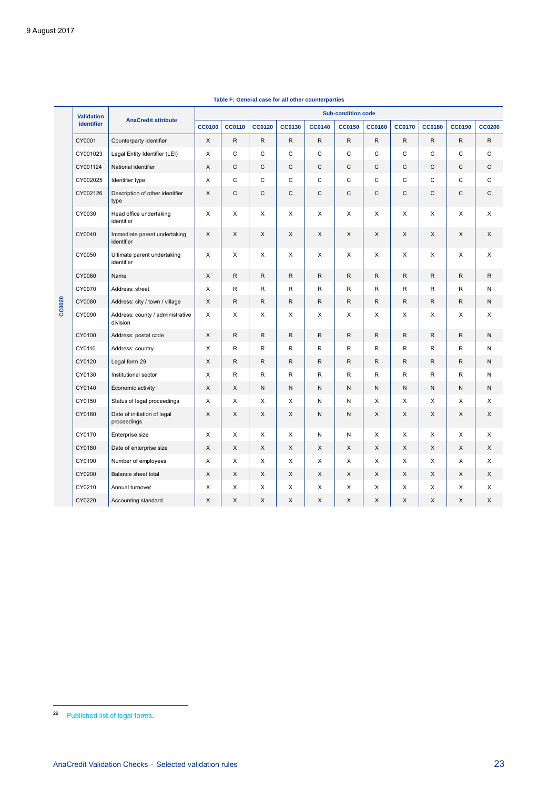|        | <b>Validation</b> | <b>AnaCredit attribute</b>                   | <b>Sub-condition code</b> |               |               |               |               |               |               |               |               |               |               |
|--------|-------------------|----------------------------------------------|---------------------------|---------------|---------------|---------------|---------------|---------------|---------------|---------------|---------------|---------------|---------------|
|        | <b>identifier</b> |                                              | <b>CC0100</b>             | <b>CC0110</b> | <b>CC0120</b> | <b>CC0130</b> | <b>CC0140</b> | <b>CC0150</b> | <b>CC0160</b> | <b>CC0170</b> | <b>CC0180</b> | <b>CC0190</b> | <b>CC0200</b> |
|        | CY0001            | Counterparty identifier                      | X                         | R.            | $\mathsf R$   | R.            | R.            | $\mathsf R$   | $\mathsf{R}$  | R             | $\mathsf{R}$  | R             | R             |
|        | CY001023          | Legal Entity Identifier (LEI)                | X                         | C             | C             | C             | C             | $\mathsf{C}$  | $\mathsf{C}$  | C             | $\mathsf{C}$  | C             | C             |
|        | CY001124          | National identifier                          | X                         | $\mathsf{C}$  | $\mathsf C$   | C             | $\mathsf C$   | C             | $\mathsf{C}$  | C             | C             | $\mathsf C$   | C             |
|        | CY002025          | Identifier type                              | X                         | C             | C             | C             | C             | C             | C             | C             | C             | C             | C             |
|        | CY002126          | Description of other identifier<br>type      | X                         | C             | C             | C             | C             | C             | $\mathsf C$   | C             | C             | C             | С             |
|        | CY0030            | Head office undertaking<br>identifier        | X                         | X             | X             | X             | X             | X             | X             | X             | X             | X             | X             |
|        | CY0040            | Immediate parent undertaking<br>identifier   | X                         | X             | X             | X             | X             | X             | X             | X             | X             | X             | X             |
|        | CY0050            | Ultimate parent undertaking<br>identifier    | X                         | X             | X             | X             | X             | X             | X             | X             | X             | X             | X             |
|        | CY0060            | Name                                         | X                         | $\mathsf{R}$  | ${\sf R}$     | $\mathsf{R}$  | R             | $\mathsf R$   | $\mathsf{R}$  | $\mathsf{R}$  | R             | $\mathsf R$   | R             |
|        | CY0070            | Address: street                              | X                         | R             | R             | R             | R             | R             | R             | R             | R             | R             | Ν             |
| CC0020 | CY0080            | Address: city / town / village               | X                         | R             | $\mathsf R$   | R.            | R             | R             | $\mathsf{R}$  | R.            | R             | R.            | N             |
|        | CY0090            | Address: county / administrative<br>division | X                         | X             | X             | X             | X             | X             | X             | X             | X             | X             | X             |
|        | CY0100            | Address: postal code                         | X                         | R             | R             | R             | R             | $\mathsf{R}$  | R             | R             | R             | R             | N             |
|        | CY0110            | Address: country                             | X                         | R             | R             | R             | R             | R             | $\mathsf{R}$  | R             | R             | $\mathsf R$   | Ν             |
|        | CY0120            | Legal form 29                                | X                         | R.            | R             | R.            | R.            | R             | $\mathsf{R}$  | R             | R.            | $\mathsf{R}$  | Ν             |
|        | CY0130            | Institutional sector                         | X                         | R             | $\mathsf R$   | R             | R             | $\mathsf R$   | $\mathsf{R}$  | R             | R             | $\mathsf R$   | Ν             |
|        | CY0140            | Economic activity                            | X                         | X             | N             | N             | N             | N             | $\mathsf{N}$  | N             | N             | N             | N             |
|        | CY0150            | Status of legal proceedings                  | X                         | X             | X             | X             | N             | N             | X             | X             | X             | X             | X             |
|        | CY0160            | Date of initiation of legal<br>proceedings   | X                         | X             | X             | X             | N             | N             | X             | X             | X             | X             | X             |
|        | CY0170            | Enterprise size                              | X                         | X             | X             | X             | Ν             | N             | X             | X             | X             | X             | X             |
|        | CY0180            | Date of enterprise size                      | X                         | X             | X             | X             | X             | X             | X             | X             | X             | X             | X             |
|        | CY0190            | Number of employees                          | X                         | X             | X             | X             | X             | X             | X             | X             | X             | X             | X             |
|        | CY0200            | Balance sheet total                          | X                         | X             | X             | X             | X             | X             | X             | X             | X             | X             | X             |
|        | CY0210            | Annual turnover                              | X                         | X             | X             | X             | X             | X             | X             | X             | X             | X             | X             |
|        | CY0220            | Accounting standard                          | X                         | X             | X             | X             | X             | X             | X             | X             | X             | X             | X             |

#### **Table F: General case for all other counterparties**

<span id="page-23-0"></span><sup>&</sup>lt;sup>29</sup> [Published list of legal forms.](https://www.ecb.europa.eu/stats/money/aggregates/anacredit/shared/pdf/List_of_legal_forms.xlsx)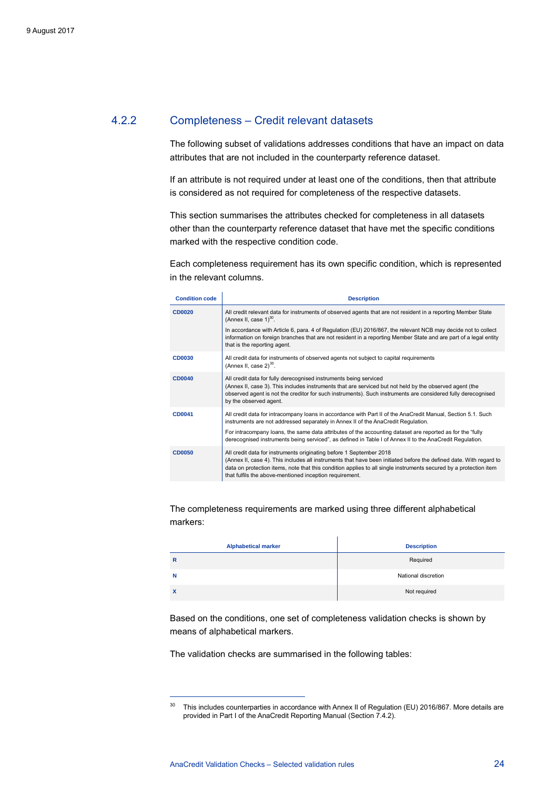#### 4.2.2 Completeness – Credit relevant datasets

<span id="page-24-0"></span>The following subset of validations addresses conditions that have an impact on data attributes that are not included in the counterparty reference dataset.

If an attribute is not required under at least one of the conditions, then that attribute is considered as not required for completeness of the respective datasets.

This section summarises the attributes checked for completeness in all datasets other than the counterparty reference dataset that have met the specific conditions marked with the respective condition code.

Each completeness requirement has its own specific condition, which is represented in the relevant columns.

<span id="page-24-1"></span>

| <b>Condition code</b> | <b>Description</b>                                                                                                                                                                                                                                                                                                                                                        |
|-----------------------|---------------------------------------------------------------------------------------------------------------------------------------------------------------------------------------------------------------------------------------------------------------------------------------------------------------------------------------------------------------------------|
| <b>CD0020</b>         | All credit relevant data for instruments of observed agents that are not resident in a reporting Member State<br>(Annex II, case $1$ ) <sup>30</sup> .                                                                                                                                                                                                                    |
|                       | In accordance with Article 6, para. 4 of Regulation (EU) 2016/867, the relevant NCB may decide not to collect<br>information on foreign branches that are not resident in a reporting Member State and are part of a legal entity<br>that is the reporting agent.                                                                                                         |
| <b>CD0030</b>         | All credit data for instruments of observed agents not subject to capital requirements<br>(Annex II, case $2)^{30}$ .                                                                                                                                                                                                                                                     |
| <b>CD0040</b>         | All credit data for fully derecognised instruments being serviced<br>(Annex II, case 3). This includes instruments that are serviced but not held by the observed agent (the<br>observed agent is not the creditor for such instruments). Such instruments are considered fully derecognised<br>by the observed agent.                                                    |
| <b>CD0041</b>         | All credit data for intracompany loans in accordance with Part II of the AnaCredit Manual, Section 5.1. Such<br>instruments are not addressed separately in Annex II of the AnaCredit Regulation.                                                                                                                                                                         |
|                       | For intracompany loans, the same data attributes of the accounting dataset are reported as for the "fully<br>derecognised instruments being serviced", as defined in Table I of Annex II to the AnaCredit Regulation.                                                                                                                                                     |
| <b>CD0050</b>         | All credit data for instruments originating before 1 September 2018<br>(Annex II, case 4). This includes all instruments that have been initiated before the defined date. With regard to<br>data on protection items, note that this condition applies to all single instruments secured by a protection item<br>that fulfils the above-mentioned inception requirement. |

The completeness requirements are marked using three different alphabetical markers:

| <b>Alphabetical marker</b> | <b>Description</b>  |
|----------------------------|---------------------|
| R                          | Required            |
| N                          | National discretion |
| X                          | Not required        |

Based on the conditions, one set of completeness validation checks is shown by means of alphabetical markers.

The validation checks are summarised in the following tables:

<span id="page-24-2"></span><sup>&</sup>lt;sup>30</sup> This includes counterparties in accordance with Annex II of Regulation (EU) 2016/867. More details are provided in Part I of the AnaCredit Reporting Manual (Section 7.4.2).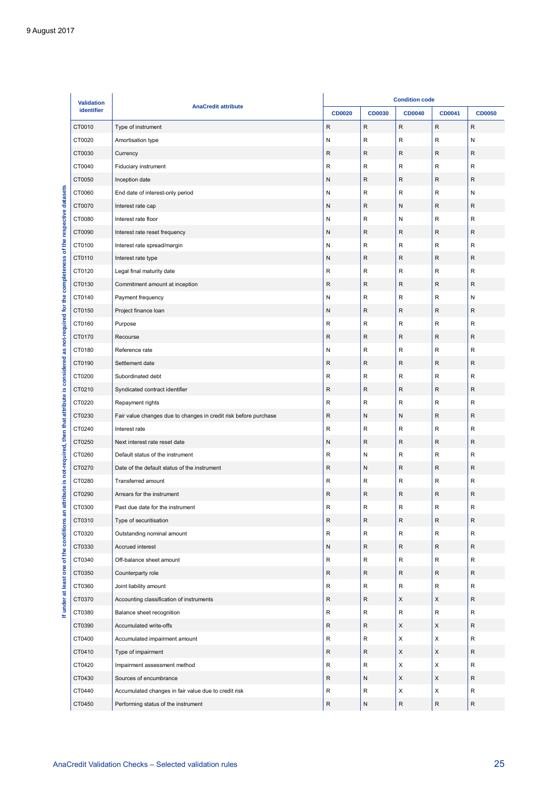| identifier       | <b>AnaCredit attribute</b>                                                                  | <b>CD0020</b> | <b>CD0030</b> | <b>CD0040</b> | CD0041       | <b>CD0050</b> |
|------------------|---------------------------------------------------------------------------------------------|---------------|---------------|---------------|--------------|---------------|
| CT0010           | Type of instrument                                                                          | ${\sf R}$     | $\mathsf{R}$  | ${\sf R}$     | ${\sf R}$    | ${\sf R}$     |
| CT0020           | Amortisation type                                                                           | ${\sf N}$     | ${\sf R}$     | R             | R            | Ν             |
| CT0030           | Currency                                                                                    | R             | R             | R             | R            | R             |
| CT0040           | Fiduciary instrument                                                                        | ${\sf R}$     | ${\sf R}$     | ${\sf R}$     | $\mathsf{R}$ | ${\sf R}$     |
| CT0050           | Inception date                                                                              | N             | R             | R             | R            | R             |
| CT0060           | End date of interest-only period                                                            | ${\sf N}$     | R             | R             | ${\sf R}$    | Ν             |
| CT0070           | Interest rate cap                                                                           | ${\sf N}$     | R             | N             | $\mathsf{R}$ | R             |
| CT0080           | Interest rate floor                                                                         | ${\sf N}$     | ${\sf R}$     | N             | R            | R             |
| CT0090           | Interest rate reset frequency                                                               | N             | R             | R             | R            | R             |
| CT0100           | Interest rate spread/margin                                                                 | N             | ${\sf R}$     | $\mathsf{R}$  | $\mathsf{R}$ | ${\sf R}$     |
| CT0110           | Interest rate type                                                                          | N             | R             | R             | R            | R             |
| CT0120           | Legal final maturity date                                                                   | ${\sf R}$     | R             | R             | ${\sf R}$    | ${\sf R}$     |
| CT0130           | Commitment amount at inception                                                              | $\mathsf R$   | R             | ${\sf R}$     | $\mathsf{R}$ | R             |
| CT0140           | Payment frequency                                                                           | ${\sf N}$     | ${\sf R}$     | R             | R            | Ν             |
| CT0150           | Project finance loan                                                                        | N             | R             | R             | R            | R             |
| CT0160           | Purpose                                                                                     | $\mathsf{R}$  | ${\sf R}$     | $\mathsf{R}$  | $\mathsf{R}$ | $\mathsf R$   |
| CT0170           | Recourse                                                                                    | R             | R             | R             | R            | R             |
| CT0180           | Reference rate                                                                              | N             | R             | R             | ${\sf R}$    | ${\sf R}$     |
| CT0190           | Settlement date                                                                             | ${\sf R}$     | R             | ${\sf R}$     | $\mathsf{R}$ | R             |
| CT0200           | Subordinated debt                                                                           | ${\sf R}$     | ${\sf R}$     | R             | R            | R             |
| CT0210           | Syndicated contract identifier                                                              | ${\sf R}$     | $\mathsf R$   | $\mathsf R$   | ${\sf R}$    | ${\sf R}$     |
| CT0220           | Repayment rights                                                                            | $\mathsf R$   | ${\sf R}$     | $\mathsf{R}$  | $\mathsf{R}$ | $\mathsf R$   |
| CT0230           | Fair value changes due to changes in credit risk before purchase                            | R             | N             | N             | R            | R             |
| CT0240           | Interest rate                                                                               | $\mathsf R$   | $\mathsf R$   | R             | $\mathsf{R}$ | $\mathsf R$   |
| CT0250           | Next interest rate reset date                                                               | ${\sf N}$     | R             | ${\sf R}$     | $\mathsf{R}$ | R             |
| CT0260           | Default status of the instrument                                                            | ${\sf R}$     | N             | R             | R            | R             |
| CT0270           | Date of the default status of the instrument                                                | R             | N             | ${\sf R}$     | ${\sf R}$    | ${\sf R}$     |
| CT0280           | Transferred amount                                                                          | ${\sf R}$     | ${\sf R}$     | ${\sf R}$     | ${\sf R}$    | ${\sf R}$     |
| CT0290           | Arrears for the instrument                                                                  | R             | R             | R             | R            | R             |
| CT0300           | Past due date for the instrument                                                            | R             | $\mathsf{R}$  | $\mathsf R$   | $\mathsf{R}$ | $\mathsf R$   |
| CT0310           | Type of securitisation                                                                      | ${\sf R}$     | ${\sf R}$     | ${\sf R}$     | ${\sf R}$    | ${\sf R}$     |
| CT0320           | Outstanding nominal amount                                                                  | R             | R             | R             | R            | R             |
| CT0330           | Accrued interest                                                                            | ${\sf N}$     | R             | ${\sf R}$     | ${\sf R}$    | R             |
| CT0340           | Off-balance sheet amount                                                                    | ${\sf R}$     | R             | $\mathsf R$   | ${\sf R}$    | R             |
| CT0350           | Counterparty role                                                                           | R             | R             | R             | R            | R             |
| CT0360           | Joint liability amount                                                                      | R             | R             | $\mathsf R$   | ${\sf R}$    | R             |
| CT0370           | Accounting classification of instruments                                                    | ${\sf R}$     | R             | X             | X            | R             |
| CT0380           | Balance sheet recognition                                                                   | R             | R             | $\mathsf R$   | $\mathsf{R}$ | R             |
|                  |                                                                                             | $\mathsf R$   |               |               |              | R             |
| CT0390           | Accumulated write-offs                                                                      | R             | R             | X<br>X        | X            | R             |
| CT0400           | Accumulated impairment amount                                                               |               | R             |               | X            |               |
| CT0410           | Type of impairment                                                                          | R             | R             | X             | X            | R             |
| CT0420           | Impairment assessment method                                                                | R             | R             | X             | X            | R             |
| CT0430           | Sources of encumbrance                                                                      | ${\sf R}$     | N             | X             | $\mathsf X$  | R             |
|                  | Accumulated changes in fair value due to credit risk<br>Performing status of the instrument | R             | R             | X             | X            | R             |
| CT0440<br>CT0450 |                                                                                             | ${\sf R}$     | ${\sf N}$     | ${\sf R}$     | ${\sf R}$    | $\mathsf{R}$  |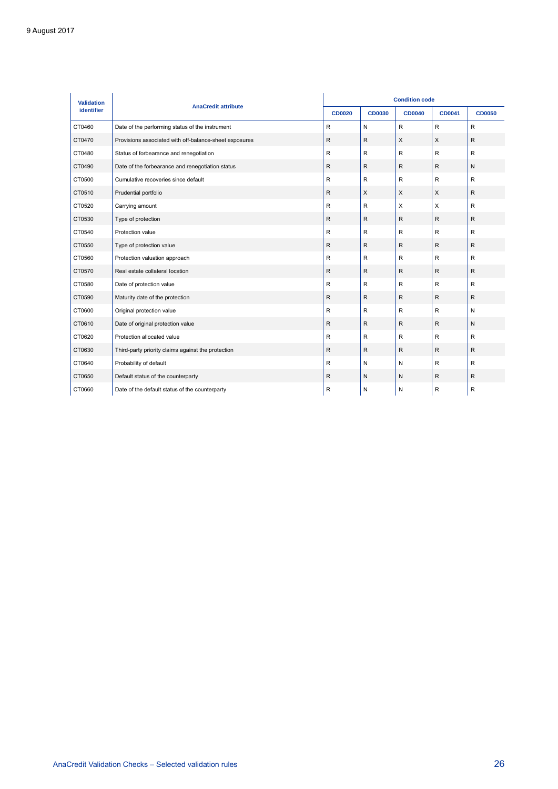| <b>Validation</b> |                                                        | <b>Condition code</b> |               |               |               |               |  |  |
|-------------------|--------------------------------------------------------|-----------------------|---------------|---------------|---------------|---------------|--|--|
| identifier        | <b>AnaCredit attribute</b>                             |                       | <b>CD0030</b> | <b>CD0040</b> | <b>CD0041</b> | <b>CD0050</b> |  |  |
| CT0460            | Date of the performing status of the instrument        | $\mathsf{R}$          | N             | $\mathsf{R}$  | $\mathsf{R}$  | R             |  |  |
| CT0470            | Provisions associated with off-balance-sheet exposures | $\mathsf{R}$          | $\mathsf R$   | X             | X             | R             |  |  |
| CT0480            | Status of forbearance and renegotiation                | $\sf R$               | R             | $\sf R$       | $\mathsf{R}$  | R             |  |  |
| CT0490            | Date of the forbearance and renegotiation status       | $\mathsf{R}$          | $\mathsf R$   | $\mathsf{R}$  | $\mathsf{R}$  | N             |  |  |
| CT0500            | Cumulative recoveries since default                    | $\mathsf{R}$          | R             | R             | R.            | R             |  |  |
| CT0510            | Prudential portfolio                                   | $\mathsf{R}$          | X             | X             | X             | R             |  |  |
| CT0520            | Carrying amount                                        | R                     | $\mathsf{R}$  | X             | X             | R             |  |  |
| CT0530            | Type of protection                                     | $\mathsf{R}$          | $\mathsf{R}$  | $\mathsf{R}$  | $\mathsf{R}$  | R             |  |  |
| CT0540            | Protection value                                       | $\mathsf{R}$          | R             | R             | $\mathsf{R}$  | R             |  |  |
| CT0550            | Type of protection value                               | $\sf R$               | $\mathsf R$   | $\mathsf R$   | ${\sf R}$     | $\mathsf R$   |  |  |
| CT0560            | Protection valuation approach                          | $\mathsf{R}$          | $\mathsf{R}$  | $\mathsf R$   | $\mathsf{R}$  | R             |  |  |
| CT0570            | Real estate collateral location                        | $\mathsf{R}$          | $\mathsf{R}$  | $\mathsf{R}$  | $\mathsf{R}$  | R             |  |  |
| CT0580            | Date of protection value                               | $\mathsf{R}$          | R             | $\mathsf{R}$  | $\mathsf{R}$  | R             |  |  |
| CT0590            | Maturity date of the protection                        | $\mathsf{R}$          | R             | $\mathsf{R}$  | $\mathsf{R}$  | R             |  |  |
| CT0600            | Original protection value                              | $\mathsf{R}$          | $\mathsf{R}$  | $\mathsf{R}$  | $\mathsf{R}$  | N             |  |  |
| CT0610            | Date of original protection value                      | $\mathsf{R}$          | $\mathsf{R}$  | $\mathsf{R}$  | $\mathsf{R}$  | N             |  |  |
| CT0620            | Protection allocated value                             | $\mathsf{R}$          | $\mathsf{R}$  | $\mathsf{R}$  | $\mathsf{R}$  | R             |  |  |
| CT0630            | Third-party priority claims against the protection     | $\mathsf{R}$          | R             | $\mathsf{R}$  | $\mathsf{R}$  | $\mathsf R$   |  |  |
| CT0640            | Probability of default                                 | $\mathsf{R}$          | N             | N             | $\mathsf{R}$  | R             |  |  |
| CT0650            | Default status of the counterparty                     | $\mathsf{R}$          | N             | ${\sf N}$     | $\mathsf{R}$  | $\mathsf{R}$  |  |  |
| CT0660            | Date of the default status of the counterparty         | R                     | N             | N             | R             | R             |  |  |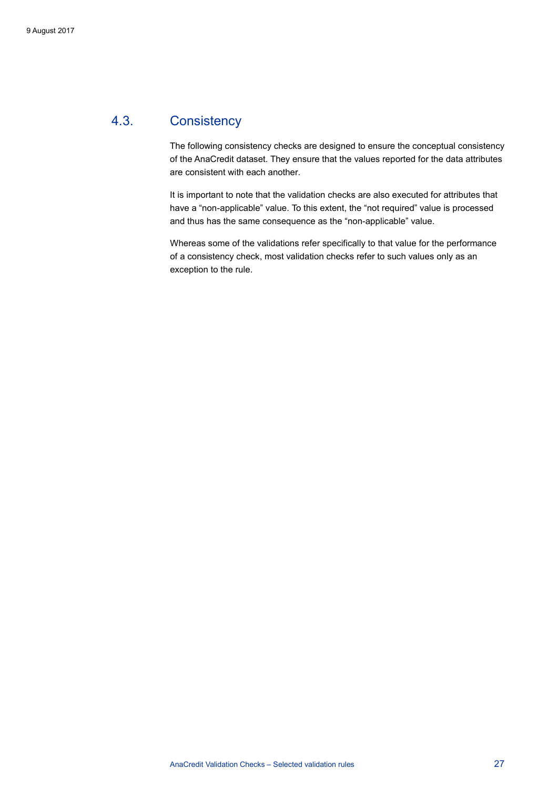### 4.3. Consistency

<span id="page-27-0"></span>The following consistency checks are designed to ensure the conceptual consistency of the AnaCredit dataset. They ensure that the values reported for the data attributes are consistent with each another.

It is important to note that the validation checks are also executed for attributes that have a "non-applicable" value. To this extent, the "not required" value is processed and thus has the same consequence as the "non-applicable" value.

Whereas some of the validations refer specifically to that value for the performance of a consistency check, most validation checks refer to such values only as an exception to the rule.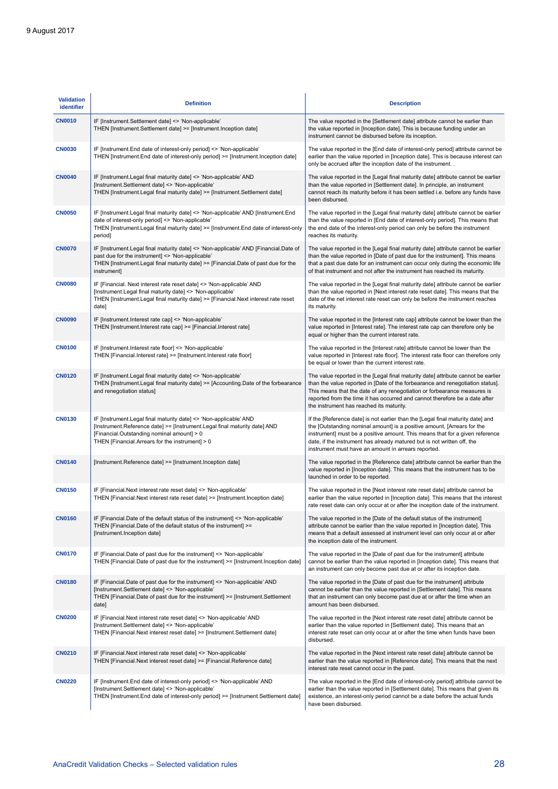| <b>Validation</b><br>identifier | <b>Definition</b>                                                                                                                                                                                                                               | <b>Description</b>                                                                                                                                                                                                                                                                                                                                                           |
|---------------------------------|-------------------------------------------------------------------------------------------------------------------------------------------------------------------------------------------------------------------------------------------------|------------------------------------------------------------------------------------------------------------------------------------------------------------------------------------------------------------------------------------------------------------------------------------------------------------------------------------------------------------------------------|
| <b>CN0010</b>                   | IF [Instrument.Settlement date] <> 'Non-applicable'<br>THEN [Instrument.Settlement date] >= [Instrument.Inception date]                                                                                                                         | The value reported in the [Settlement date] attribute cannot be earlier than<br>the value reported in [Inception date]. This is because funding under an<br>instrument cannot be disbursed before its inception.                                                                                                                                                             |
| <b>CN0030</b>                   | IF [Instrument.End date of interest-only period] <> 'Non-applicable'<br>THEN [Instrument.End date of interest-only period] >= [Instrument.Inception date]                                                                                       | The value reported in the [End date of interest-only period] attribute cannot be<br>earlier than the value reported in [Inception date]. This is because interest can<br>only be accrued after the inception date of the instrument                                                                                                                                          |
| <b>CN0040</b>                   | IF [Instrument.Legal final maturity date] <> 'Non-applicable' AND<br>[Instrument.Settlement date] <> 'Non-applicable'<br>THEN [Instrument.Legal final maturity date] >= [Instrument.Settlement date]                                            | The value reported in the [Legal final maturity date] attribute cannot be earlier<br>than the value reported in [Settlement date]. In principle, an instrument<br>cannot reach its maturity before it has been settled i.e. before any funds have<br>been disbursed.                                                                                                         |
| <b>CN0050</b>                   | IF [Instrument.Legal final maturity date] <> 'Non-applicable' AND [Instrument.End<br>date of interest-only period] <> 'Non-applicable'<br>THEN [Instrument.Legal final maturity date] >= [Instrument.End date of interest-only<br>period]       | The value reported in the [Legal final maturity date] attribute cannot be earlier<br>than the value reported in [End date of interest-only period]. This means that<br>the end date of the interest-only period can only be before the instrument<br>reaches its maturity.                                                                                                   |
| <b>CN0070</b>                   | IF [Instrument.Legal final maturity date] <> 'Non-applicable' AND [Financial.Date of<br>past due for the instrument] <> 'Non-applicable'<br>THEN [Instrument.Legal final maturity date] >= [Financial.Date of past due for the<br>instrument]   | The value reported in the [Legal final maturity date] attribute cannot be earlier<br>than the value reported in [Date of past due for the instrument]. This means<br>that a past due date for an instrument can occur only during the economic life<br>of that instrument and not after the instrument has reached its maturity.                                             |
| <b>CN0080</b>                   | IF [Financial. Next interest rate reset date] <> 'Non-applicable' AND<br>[Instrument.Legal final maturity date] <> 'Non-applicable'<br>THEN [Instrument.Legal final maturity date] >= [Financial.Next interest rate reset<br>date]              | The value reported in the [Legal final maturity date] attribute cannot be earlier<br>than the value reported in [Next interest rate reset date]. This means that the<br>date of the net interest rate reset can only be before the instrument reaches<br>its maturity.                                                                                                       |
| <b>CN0090</b>                   | IF [Instrument.Interest rate cap] <> 'Non-applicable'<br>THEN [Instrument.Interest rate cap] >= [Financial.Interest rate]                                                                                                                       | The value reported in the [Interest rate cap] attribute cannot be lower than the<br>value reported in [Interest rate]. The interest rate cap can therefore only be<br>equal or higher than the current interest rate.                                                                                                                                                        |
| <b>CN0100</b>                   | IF [Instrument.Interest rate floor] <> 'Non-applicable'<br>THEN [Financial.Interest rate] >= [Instrument.Interest rate floor]                                                                                                                   | The value reported in the [Interest rate] attribute cannot be lower than the<br>value reported in [Interest rate floor]. The interest rate floor can therefore only<br>be equal or lower than the current interest rate.                                                                                                                                                     |
| <b>CN0120</b>                   | IF [Instrument.Legal final maturity date] <> 'Non-applicable'<br>THEN [Instrument.Legal final maturity date] >= [Accounting.Date of the forbearance<br>and renegotiation status]                                                                | The value reported in the [Legal final maturity date] attribute cannot be earlier<br>than the value reported in [Date of the forbearance and renegotiation status].<br>This means that the date of any renegotiation or forbearance measures is<br>reported from the time it has occurred and cannot therefore be a date after<br>the instrument has reached its maturity.   |
| <b>CN0130</b>                   | IF [Instrument.Legal final maturity date] <> 'Non-applicable' AND<br>[Instrument.Reference date] >= [Instrument.Legal final maturity date] AND<br>[Financial.Outstanding nominal amount] > 0<br>THEN [Financial.Arrears for the instrument] > 0 | If the [Reference date] is not earlier than the [Legal final maturity date] and<br>the [Outstanding nominal amount] is a positive amount, [Arrears for the<br>instrument] must be a positive amount. This means that for a given reference<br>date, if the instrument has already matured but is not written off, the<br>instrument must have an amount in arrears reported. |
| <b>CN0140</b>                   | [Instrument.Reference date] >= [Instrument.Inception date]                                                                                                                                                                                      | The value reported in the [Reference date] attribute cannot be earlier than the<br>value reported in [Inception date]. This means that the instrument has to be<br>launched in order to be reported.                                                                                                                                                                         |
| <b>CN0150</b>                   | IF [Financial.Next interest rate reset date] <> 'Non-applicable'<br>THEN [Financial.Next interest rate reset date] >= [Instrument.Inception date]                                                                                               | The value reported in the [Next interest rate reset date] attribute cannot be<br>earlier than the value reported in [Inception date]. This means that the interest<br>rate reset date can only occur at or after the inception date of the instrument.                                                                                                                       |
| <b>CN0160</b>                   | IF [Financial.Date of the default status of the instrument] <> 'Non-applicable'<br>THEN [Financial.Date of the default status of the instrument] >=<br>[Instrument.Inception date]                                                              | The value reported in the [Date of the default status of the instrument]<br>attribute cannot be earlier than the value reported in [Inception date]. This<br>means that a default assessed at instrument level can only occur at or after<br>the inception date of the instrument.                                                                                           |
| <b>CN0170</b>                   | IF [Financial.Date of past due for the instrument] <> 'Non-applicable'<br>THEN [Financial.Date of past due for the instrument] >= [Instrument.Inception date]                                                                                   | The value reported in the [Date of past due for the instrument] attribute<br>cannot be earlier than the value reported in [Inception date]. This means that<br>an instrument can only become past due at or after its inception date.                                                                                                                                        |
| <b>CN0180</b>                   | IF [Financial.Date of past due for the instrument] <> 'Non-applicable' AND<br>[Instrument.Settlement date] <> 'Non-applicable'<br>THEN [Financial.Date of past due for the instrument] >= [Instrument.Settlement]<br>date]                      | The value reported in the [Date of past due for the instrument] attribute<br>cannot be earlier than the value reported in [Settlement date]. This means<br>that an instrument can only become past due at or after the time when an<br>amount has been disbursed.                                                                                                            |
| <b>CN0200</b>                   | IF [Financial.Next interest rate reset date] <> 'Non-applicable' AND<br>[Instrument.Settlement date] <> 'Non-applicable'<br>THEN [Financial.Next interest reset date] >= [Instrument.Settlement date]                                           | The value reported in the [Next interest rate reset date] attribute cannot be<br>earlier than the value reported in [Settlement date]. This means that an<br>interest rate reset can only occur at or after the time when funds have been<br>disbursed.                                                                                                                      |
| <b>CN0210</b>                   | IF [Financial.Next interest rate reset date] <> 'Non-applicable'<br>THEN [Financial.Next interest reset date] >= [Financial.Reference date]                                                                                                     | The value reported in the [Next interest rate reset date] attribute cannot be<br>earlier than the value reported in [Reference date]. This means that the next<br>interest rate reset cannot occur in the past.                                                                                                                                                              |
| <b>CN0220</b>                   | IF [Instrument.End date of interest-only period] <> 'Non-applicable' AND<br>[Instrument.Settlement date] <> 'Non-applicable'<br>THEN [Instrument.End date of interest-only period] >= [Instrument.Settlement date]                              | The value reported in the [End date of interest-only period] attribute cannot be<br>earlier than the value reported in [Settlement date]. This means that given its<br>existence, an interest-only period cannot be a date before the actual funds<br>have been disbursed.                                                                                                   |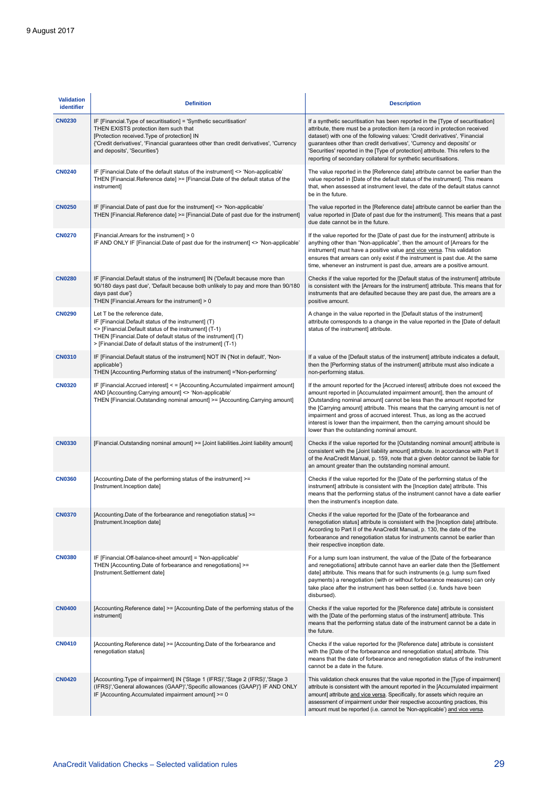| <b>Validation</b><br>identifier | <b>Definition</b>                                                                                                                                                                                                                                                                     | <b>Description</b>                                                                                                                                                                                                                                                                                                                                                                                                                                                                                                           |
|---------------------------------|---------------------------------------------------------------------------------------------------------------------------------------------------------------------------------------------------------------------------------------------------------------------------------------|------------------------------------------------------------------------------------------------------------------------------------------------------------------------------------------------------------------------------------------------------------------------------------------------------------------------------------------------------------------------------------------------------------------------------------------------------------------------------------------------------------------------------|
| <b>CN0230</b>                   | IF [Financial.Type of securitisation] = 'Synthetic securitisation'<br>THEN EXISTS protection item such that<br>[Protection received. Type of protection] IN<br>{'Credit derivatives', 'Financial guarantees other than credit derivatives', 'Currency<br>and deposits', 'Securities'} | If a synthetic securitisation has been reported in the [Type of securitisation]<br>attribute, there must be a protection item (a record in protection received<br>dataset) with one of the following values: 'Credit derivatives', 'Financial<br>guarantees other than credit derivatives', 'Currency and deposits' or<br>'Securities' reported in the [Type of protection] attribute. This refers to the<br>reporting of secondary collateral for synthetic securitisations.                                                |
| <b>CN0240</b>                   | IF [Financial.Date of the default status of the instrument] <> 'Non-applicable'<br>THEN [Financial.Reference date] >= [Financial.Date of the default status of the<br>instrument]                                                                                                     | The value reported in the [Reference date] attribute cannot be earlier than the<br>value reported in [Date of the default status of the instrument]. This means<br>that, when assessed at instrument level, the date of the default status cannot<br>be in the future.                                                                                                                                                                                                                                                       |
| <b>CN0250</b>                   | IF [Financial.Date of past due for the instrument] <> 'Non-applicable'<br>THEN [Financial.Reference date] >= [Financial.Date of past due for the instrument]                                                                                                                          | The value reported in the [Reference date] attribute cannot be earlier than the<br>value reported in [Date of past due for the instrument]. This means that a past<br>due date cannot be in the future.                                                                                                                                                                                                                                                                                                                      |
| <b>CN0270</b>                   | [Financial.Arrears for the instrument] > 0<br>IF AND ONLY IF [Financial.Date of past due for the instrument] <> 'Non-applicable'                                                                                                                                                      | If the value reported for the [Date of past due for the instrument] attribute is<br>anything other than "Non-applicable", then the amount of [Arrears for the<br>instrument] must have a positive value and vice versa. This validation<br>ensures that arrears can only exist if the instrument is past due. At the same<br>time, whenever an instrument is past due, arrears are a positive amount.                                                                                                                        |
| <b>CN0280</b>                   | IF [Financial.Default status of the instrument] IN {'Default because more than<br>90/180 days past due', 'Default because both unlikely to pay and more than 90/180<br>days past due'}<br>THEN [Financial.Arrears for the instrument] > 0                                             | Checks if the value reported for the [Default status of the instrument] attribute<br>is consistent with the [Arrears for the instrument] attribute. This means that for<br>instruments that are defaulted because they are past due, the arrears are a<br>positive amount.                                                                                                                                                                                                                                                   |
| <b>CN0290</b>                   | Let T be the reference date,<br>IF [Financial.Default status of the instrument] (T)<br><> [Financial.Default status of the instrument] (T-1)<br>THEN [Financial.Date of default status of the instrument] (T)<br>> [Financial.Date of default status of the instrument] (T-1)         | A change in the value reported in the [Default status of the instrument]<br>attribute corresponds to a change in the value reported in the [Date of default<br>status of the instrument] attribute.                                                                                                                                                                                                                                                                                                                          |
| <b>CN0310</b>                   | IF [Financial.Default status of the instrument] NOT IN {'Not in default', 'Non-<br>applicable'}<br>THEN [Accounting.Performing status of the instrument] ='Non-performing'                                                                                                            | If a value of the [Default status of the instrument] attribute indicates a default,<br>then the [Performing status of the instrument] attribute must also indicate a<br>non-performing status.                                                                                                                                                                                                                                                                                                                               |
| <b>CN0320</b>                   | IF [Financial.Accrued interest] < = [Accounting.Accumulated impairment amount]<br>AND [Accounting Carrying amount] <> 'Non-applicable'<br>THEN [Financial.Outstanding nominal amount] >= [Accounting.Carrying amount]                                                                 | If the amount reported for the [Accrued interest] attribute does not exceed the<br>amount reported in [Accumulated impairment amount], then the amount of<br>[Outstanding nominal amount] cannot be less than the amount reported for<br>the [Carrying amount] attribute. This means that the carrying amount is net of<br>impairment and gross of accrued interest. Thus, as long as the accrued<br>interest is lower than the impairment, then the carrying amount should be<br>lower than the outstanding nominal amount. |
| <b>CN0330</b>                   | [Financial.Outstanding nominal amount] >= [Joint liabilities.Joint liability amount]                                                                                                                                                                                                  | Checks if the value reported for the [Outstanding nominal amount] attribute is<br>consistent with the [Joint liability amount] attribute. In accordance with Part II<br>of the AnaCredit Manual, p. 159, note that a given debtor cannot be liable for<br>an amount greater than the outstanding nominal amount.                                                                                                                                                                                                             |
| <b>CN0360</b>                   | [Accounting.Date of the performing status of the instrument] >=<br>[Instrument.Inception date]                                                                                                                                                                                        | Checks if the value reported for the [Date of the performing status of the<br>instrument] attribute is consistent with the [Inception date] attribute. This<br>means that the performing status of the instrument cannot have a date earlier<br>then the instrument's inception date.                                                                                                                                                                                                                                        |
| <b>CN0370</b>                   | [Accounting.Date of the forbearance and renegotiation status] >=<br>[Instrument.Inception date]                                                                                                                                                                                       | Checks if the value reported for the [Date of the forbearance and<br>renegotiation status] attribute is consistent with the [Inception date] attribute.<br>According to Part II of the AnaCredit Manual, p. 130, the date of the<br>forbearance and renegotiation status for instruments cannot be earlier than<br>their respective inception date.                                                                                                                                                                          |
| <b>CN0380</b>                   | IF [Financial.Off-balance-sheet amount] = 'Non-applicable'<br>THEN [Accounting.Date of forbearance and renegotiations] >=<br>[Instrument.Settlement date]                                                                                                                             | For a lump sum loan instrument, the value of the [Date of the forbearance<br>and renegotiations] attribute cannot have an earlier date then the [Settlement<br>date] attribute. This means that for such instruments (e.g. lump sum fixed<br>payments) a renegotiation (with or without forbearance measures) can only<br>take place after the instrument has been settled (i.e. funds have been<br>disbursed).                                                                                                              |
| <b>CN0400</b>                   | [Accounting.Reference date] >= [Accounting.Date of the performing status of the<br>instrument]                                                                                                                                                                                        | Checks if the value reported for the [Reference date] attribute is consistent<br>with the [Date of the performing status of the instrument] attribute. This<br>means that the performing status date of the instrument cannot be a date in<br>the future.                                                                                                                                                                                                                                                                    |
| <b>CN0410</b>                   | [Accounting.Reference date] >= [Accounting.Date of the forbearance and<br>renegotiation status]                                                                                                                                                                                       | Checks if the value reported for the [Reference date] attribute is consistent<br>with the [Date of the forbearance and renegotiation status] attribute. This<br>means that the date of forbearance and renegotiation status of the instrument<br>cannot be a date in the future.                                                                                                                                                                                                                                             |
| <b>CN0420</b>                   | [Accounting.Type of impairment] IN {'Stage 1 (IFRS)','Stage 2 (IFRS)','Stage 3<br>(IFRS)','General allowances (GAAP)','Specific allowances (GAAP)'} IF AND ONLY<br>IF [Accounting Accumulated impairment amount] >= 0                                                                 | This validation check ensures that the value reported in the [Type of impairment]<br>attribute is consistent with the amount reported in the [Accumulated impairment<br>amount] attribute and vice versa. Specifically, for assets which require an<br>assessment of impairment under their respective accounting practices, this<br>amount must be reported (i.e. cannot be 'Non-applicable') and vice versa.                                                                                                               |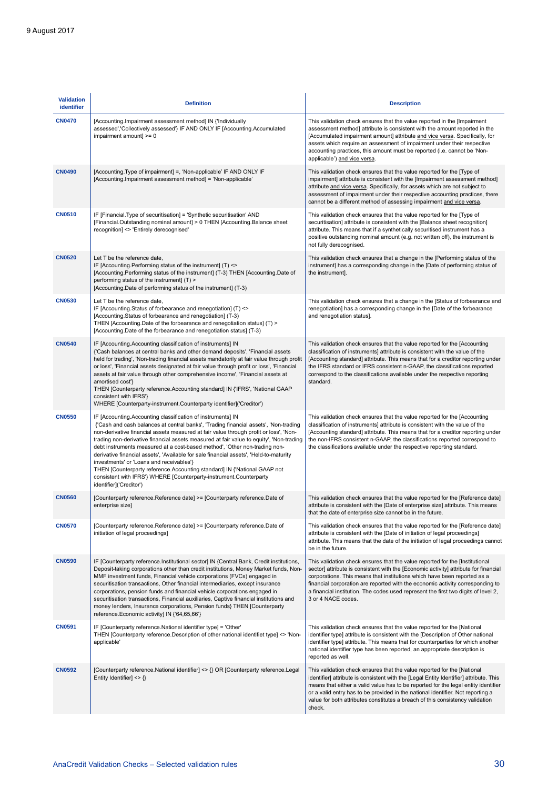| <b>Validation</b><br>identifier | <b>Definition</b>                                                                                                                                                                                                                                                                                                                                                                                                                                                                                                                                                                                                                                                                                                                        | <b>Description</b>                                                                                                                                                                                                                                                                                                                                                                                                                             |
|---------------------------------|------------------------------------------------------------------------------------------------------------------------------------------------------------------------------------------------------------------------------------------------------------------------------------------------------------------------------------------------------------------------------------------------------------------------------------------------------------------------------------------------------------------------------------------------------------------------------------------------------------------------------------------------------------------------------------------------------------------------------------------|------------------------------------------------------------------------------------------------------------------------------------------------------------------------------------------------------------------------------------------------------------------------------------------------------------------------------------------------------------------------------------------------------------------------------------------------|
| <b>CN0470</b>                   | [Accounting.Impairment assessment method] IN {'Individually<br>assessed','Collectively assessed'} IF AND ONLY IF [Accounting Accumulated<br>impairment amount] >= 0                                                                                                                                                                                                                                                                                                                                                                                                                                                                                                                                                                      | This validation check ensures that the value reported in the [Impairment<br>assessment method] attribute is consistent with the amount reported in the<br>[Accumulated impairment amount] attribute and vice versa. Specifically, for<br>assets which require an assessment of impairment under their respective<br>accounting practices, this amount must be reported (i.e. cannot be 'Non-<br>applicable') and vice versa.                   |
| <b>CN0490</b>                   | [Accounting. Type of impairment] =, 'Non-applicable' IF AND ONLY IF<br>[Accounting.Impairment assessment method] = 'Non-applicable'                                                                                                                                                                                                                                                                                                                                                                                                                                                                                                                                                                                                      | This validation check ensures that the value reported for the [Type of<br>impairment] attribute is consistent with the [Impairment assessment method]<br>attribute and vice versa. Specifically, for assets which are not subject to<br>assessment of impairment under their respective accounting practices, there<br>cannot be a different method of assessing impairment and vice versa.                                                    |
| <b>CN0510</b>                   | IF [Financial.Type of securitisation] = 'Synthetic securitisation' AND<br>[Financial.Outstanding nominal amount] > 0 THEN [Accounting.Balance sheet<br>recognition] <> 'Entirely derecognised'                                                                                                                                                                                                                                                                                                                                                                                                                                                                                                                                           | This validation check ensures that the value reported for the [Type of<br>securitisation] attribute is consistent with the [Balance sheet recognition]<br>attribute. This means that if a synthetically securitised instrument has a<br>positive outstanding nominal amount (e.g. not written off), the instrument is<br>not fully derecognised.                                                                                               |
| <b>CN0520</b>                   | Let T be the reference date,<br>IF [Accounting Performing status of the instrument] (T) <><br>[Accounting Performing status of the instrument] (T-3) THEN [Accounting Date of<br>performing status of the instrument] (T) ><br>[Accounting.Date of performing status of the instrument] (T-3)                                                                                                                                                                                                                                                                                                                                                                                                                                            | This validation check ensures that a change in the [Performing status of the<br>instrument] has a corresponding change in the [Date of performing status of<br>the instrument].                                                                                                                                                                                                                                                                |
| <b>CN0530</b>                   | Let T be the reference date,<br>IF [Accounting Status of forbearance and renegotiation] (T) <><br>[Accounting Status of forbearance and renegotiation] (T-3)<br>THEN [Accounting.Date of the forbearance and renegotiation status] (T) ><br>[Accounting Date of the forbearance and renegotiation status] (T-3)                                                                                                                                                                                                                                                                                                                                                                                                                          | This validation check ensures that a change in the [Status of forbearance and<br>renegotiation] has a corresponding change in the [Date of the forbearance<br>and renegotiation status].                                                                                                                                                                                                                                                       |
| <b>CN0540</b>                   | IF [Accounting Accounting classification of instruments] IN<br>{'Cash balances at central banks and other demand deposits', 'Financial assets<br>held for trading', 'Non-trading financial assets mandatorily at fair value through profit<br>or loss', 'Financial assets designated at fair value through profit or loss', 'Financial<br>assets at fair value through other comprehensive income', 'Financial assets at<br>amortised cost'}<br>THEN [Counterparty reference. Accounting standard] IN {'IFRS', 'National GAAP<br>consistent with IFRS'}<br>WHERE [Counterparty-instrument.Counterparty identifier]('Creditor')                                                                                                           | This validation check ensures that the value reported for the [Accounting<br>classification of instruments] attribute is consistent with the value of the<br>[Accounting standard] attribute. This means that for a creditor reporting under<br>the IFRS standard or IFRS consistent n-GAAP, the classifications reported<br>correspond to the classifications available under the respective reporting<br>standard.                           |
| <b>CN0550</b>                   | IF [Accounting Accounting classification of instruments] IN<br>{'Cash and cash balances at central banks', 'Trading financial assets', 'Non-trading<br>non-derivative financial assets measured at fair value through profit or loss', 'Non-<br>trading non-derivative financial assets measured at fair value to equity', 'Non-trading<br>debt instruments measured at a cost-based method', 'Other non-trading non-<br>derivative financial assets', 'Available for sale financial assets', 'Held-to-maturity<br>investments' or 'Loans and receivables'}<br>THEN [Counterparty reference.Accounting standard] IN {'National GAAP not<br>consistent with IFRS'} WHERE [Counterparty-instrument.Counterparty<br>identifier]('Creditor') | This validation check ensures that the value reported for the [Accounting<br>classification of instruments] attribute is consistent with the value of the<br>[Accounting standard] attribute. This means that for a creditor reporting under<br>the non-IFRS consistent n-GAAP, the classifications reported correspond to<br>the classifications available under the respective reporting standard.                                           |
| <b>CN0560</b>                   | [Counterparty reference. Reference date] >= [Counterparty reference. Date of<br>enterprise size]                                                                                                                                                                                                                                                                                                                                                                                                                                                                                                                                                                                                                                         | This validation check ensures that the value reported for the [Reference date]<br>attribute is consistent with the [Date of enterprise size] attribute. This means<br>that the date of enterprise size cannot be in the future.                                                                                                                                                                                                                |
| <b>CN0570</b>                   | [Counterparty reference. Reference date] >= [Counterparty reference. Date of<br>initiation of legal proceedings]                                                                                                                                                                                                                                                                                                                                                                                                                                                                                                                                                                                                                         | This validation check ensures that the value reported for the [Reference date]<br>attribute is consistent with the [Date of initiation of legal proceedings]<br>attribute. This means that the date of the initiation of legal proceedings cannot<br>be in the future.                                                                                                                                                                         |
| <b>CN0590</b>                   | IF [Counterparty reference.Institutional sector] IN {Central Bank, Credit institutions,<br>Deposit-taking corporations other than credit institutions, Money Market funds, Non-<br>MMF investment funds, Financial vehicle corporations (FVCs) engaged in<br>securitisation transactions, Other financial intermediaries, except insurance<br>corporations, pension funds and financial vehicle corporations engaged in<br>securitisation transactions, Financial auxiliaries, Captive financial institutions and<br>money lenders, Insurance corporations, Pension funds} THEN [Counterparty<br>reference.Economic activity] IN {'64,65,66'}                                                                                            | This validation check ensures that the value reported for the [Institutional<br>sector] attribute is consistent with the [Economic activity] attribute for financial<br>corporations. This means that institutions which have been reported as a<br>financial corporation are reported with the economic activity corresponding to<br>a financial institution. The codes used represent the first two digits of level 2,<br>3 or 4 NACE codes. |
| <b>CN0591</b>                   | IF [Counterparty reference.National identifier type] = 'Other'<br>THEN [Counterparty reference.Description of other national identifiet type] <> 'Non-<br>applicable'                                                                                                                                                                                                                                                                                                                                                                                                                                                                                                                                                                    | This validation check ensures that the value reported for the [National<br>identifier type] attribute is consistent with the [Description of Other national<br>identifier type] attribute. This means that for counterparties for which another<br>national identifier type has been reported, an appropriate description is<br>reported as well.                                                                                              |
| <b>CN0592</b>                   | [Counterparty reference.National identifier] <> {} OR [Counterparty reference.Legal]<br>Entity Identifier] $\langle \rangle$                                                                                                                                                                                                                                                                                                                                                                                                                                                                                                                                                                                                             | This validation check ensures that the value reported for the [National<br>identifier] attribute is consistent with the [Legal Entity Identifier] attribute. This<br>means that either a valid value has to be reported for the legal entity identifier<br>or a valid entry has to be provided in the national identifier. Not reporting a<br>value for both attributes constitutes a breach of this consistency validation<br>check.          |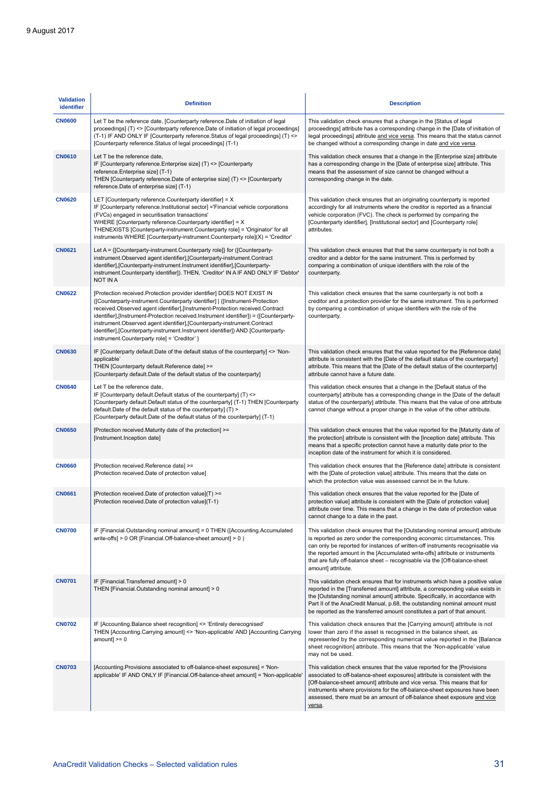| <b>Validation</b><br>identifier | <b>Definition</b>                                                                                                                                                                                                                                                                                                                                                                                                                                                                                                                                  | <b>Description</b>                                                                                                                                                                                                                                                                                                                                                                                                              |
|---------------------------------|----------------------------------------------------------------------------------------------------------------------------------------------------------------------------------------------------------------------------------------------------------------------------------------------------------------------------------------------------------------------------------------------------------------------------------------------------------------------------------------------------------------------------------------------------|---------------------------------------------------------------------------------------------------------------------------------------------------------------------------------------------------------------------------------------------------------------------------------------------------------------------------------------------------------------------------------------------------------------------------------|
| <b>CN0600</b>                   | Let T be the reference date, [Counterparty reference.Date of initiation of legal<br>proceedings] (T) <> [Counterparty reference.Date of initiation of legal proceedings]<br>(T-1) IF AND ONLY IF [Counterparty reference. Status of legal proceedings] (T) <><br>[Counterparty reference.Status of legal proceedings] (T-1)                                                                                                                                                                                                                        | This validation check ensures that a change in the [Status of legal<br>proceedings] attribute has a corresponding change in the [Date of initiation of<br>legal proceedings] attribute and vice versa. This means that the status cannot<br>be changed without a corresponding change in date and vice versa.                                                                                                                   |
| <b>CN0610</b>                   | Let T be the reference date,<br>IF [Counterparty reference.Enterprise size] (T) <> [Counterparty<br>reference.Enterprise size] (T-1)<br>THEN [Counterparty reference.Date of enterprise size] (T) <> [Counterparty<br>reference.Date of enterprise size] (T-1)                                                                                                                                                                                                                                                                                     | This validation check ensures that a change in the [Enterprise size] attribute<br>has a corresponding change in the [Date of enterprise size] attribute. This<br>means that the assessment of size cannot be changed without a<br>corresponding change in the date.                                                                                                                                                             |
| <b>CN0620</b>                   | LET [Counterparty reference.Counterparty identifier] = X<br>IF [Counterparty reference.Institutional sector] ='Financial vehicle corporations<br>(FVCs) engaged in securitisation transactions'<br>WHERE [Counterparty reference.Counterparty identifier] = X<br>THENEXISTS [Counterparty-instrument.Counterparty role] = 'Originator' for all<br>instruments WHERE [Counterparty-instrument.Counterparty role](X) = 'Creditor'                                                                                                                    | This validation check ensures that an originating counterparty is reported<br>accordingly for all instruments where the creditor is reported as a financial<br>vehicle corporation (FVC). The check is performed by comparing the<br>[Counterparty identifier], [Institutional sector] and [Counterparty role]<br>attributes.                                                                                                   |
| <b>CN0621</b>                   | Let A = {[Counterparty-instrument.Counterparty role]} for ([Counterparty-<br>instrument. Observed agent identifier], [Counterparty-instrument. Contract<br>identifier], [Counterparty-instrument.Instrument identifier], [Counterparty-<br>instrument. Counterparty identifier]). THEN, 'Creditor' IN A IF AND ONLY IF 'Debtor'<br>NOT IN A                                                                                                                                                                                                        | This validation check ensures that that the same counterparty is not both a<br>creditor and a debtor for the same instrument. This is performed by<br>comparing a combination of unique identifiers with the role of the<br>counterparty.                                                                                                                                                                                       |
| <b>CN0622</b>                   | [Protection received.Protection provider identifier] DOES NOT EXIST IN<br>{[Counterparty-instrument.Counterparty identifier]   ([Instrument-Protection<br>received.Observed agent identifier],[Instrument-Protection received.Contract<br>identifier],[Instrument-Protection received.Instrument identifier]) = ([Counterparty-<br>instrument. Observed agent identifier], [Counterparty-instrument. Contract<br>identifier], [Counterparty-instrument. Instrument identifier]) AND [Counterparty-<br>instrument.Counterparty role] = 'Creditor' } | This validation check ensures that the same counterparty is not both a<br>creditor and a protection provider for the same instrument. This is performed<br>by comparing a combination of unique identifiers with the role of the<br>counterparty.                                                                                                                                                                               |
| <b>CN0630</b>                   | IF [Counterparty default.Date of the default status of the counterparty] <> 'Non-<br>applicable'<br>THEN [Counterparty default.Reference date] >=<br>[Counterparty default.Date of the default status of the counterparty]                                                                                                                                                                                                                                                                                                                         | This validation check ensures that the value reported for the [Reference date]<br>attribute is consistent with the [Date of the default status of the counterparty]<br>attribute. This means that the [Date of the default status of the counterparty]<br>attribute cannot have a future date.                                                                                                                                  |
| <b>CN0640</b>                   | Let T be the reference date,<br>IF [Counterparty default.Default status of the counterparty] (T) <><br>[Counterparty default.Default status of the counterparty] (T-1) THEN [Counterparty<br>default. Date of the default status of the counterparty] (T) ><br>[Counterparty default.Date of the default status of the counterparty] (T-1)                                                                                                                                                                                                         | This validation check ensures that a change in the [Default status of the<br>counterparty] attribute has a corresponding change in the [Date of the default<br>status of the counterparty] attribute. This means that the value of one attribute<br>cannot change without a proper change in the value of the other attribute.                                                                                                  |
| <b>CN0650</b>                   | [Protection received.Maturity date of the protection] >=<br>[Instrument.Inception date]                                                                                                                                                                                                                                                                                                                                                                                                                                                            | This validation check ensures that the value reported for the [Maturity date of<br>the protection] attribute is consistent with the [Inception date] attribute. This<br>means that a specific protection cannot have a maturity date prior to the<br>inception date of the instrument for which it is considered.                                                                                                               |
| <b>CN0660</b>                   | [Protection received.Reference date] >=<br>[Protection received.Date of protection value]                                                                                                                                                                                                                                                                                                                                                                                                                                                          | This validation check ensures that the [Reference date] attribute is consistent<br>with the [Date of protection value] attribute. This means that the date on<br>which the protection value was assessed cannot be in the future.                                                                                                                                                                                               |
| <b>CN0661</b>                   | [Protection received.Date of protection value](T) >=<br>[Protection received.Date of protection value](T-1)                                                                                                                                                                                                                                                                                                                                                                                                                                        | This validation check ensures that the value reported for the [Date of<br>protection value] attribute is consistent with the [Date of protection value]<br>attribute over time. This means that a change in the date of protection value<br>cannot change to a date in the past.                                                                                                                                                |
| <b>CN0700</b>                   | IF [Financial.Outstanding nominal amount] = 0 THEN ([Accounting.Accumulated<br>write-offs] > 0 OR [Financial.Off-balance-sheet amount] > 0 )                                                                                                                                                                                                                                                                                                                                                                                                       | This validation check ensures that the [Outstanding nominal amount] attribute<br>is reported as zero under the corresponding economic circumstances. This<br>can only be reported for instances of written-off instruments recognisable via<br>the reported amount in the [Accumulated write-offs] attribute or instruments<br>that are fully off-balance sheet - recognisable via the [Off-balance-sheet<br>amount] attribute. |
| <b>CN0701</b>                   | IF [Financial.Transferred amount] > 0<br>THEN [Financial.Outstanding nominal amount] > 0                                                                                                                                                                                                                                                                                                                                                                                                                                                           | This validation check ensures that for instruments which have a positive value<br>reported in the [Transferred amount] attribute, a corresponding value exists in<br>the [Outstanding nominal amount] attribute. Specifically, in accordance with<br>Part II of the AnaCredit Manual, p.68, the outstanding nominal amount must<br>be reported as the transferred amount constitutes a part of that amount.                     |
| <b>CN0702</b>                   | IF [Accounting Balance sheet recognition] <> 'Entirely derecognised'<br>THEN [Accounting.Carrying amount] <> 'Non-applicable' AND [Accounting.Carrying<br>$amount$ = 0                                                                                                                                                                                                                                                                                                                                                                             | This validation check ensures that the [Carrying amount] attribute is not<br>lower than zero if the asset is recognised in the balance sheet, as<br>represented by the corresponding numerical value reported in the [Balance]<br>sheet recognition] attribute. This means that the 'Non-applicable' value<br>may not be used.                                                                                                  |
| <b>CN0703</b>                   | [Accounting Provisions associated to off-balance-sheet exposures] = 'Non-<br>applicable' IF AND ONLY IF [Financial.Off-balance-sheet amount] = 'Non-applicable'                                                                                                                                                                                                                                                                                                                                                                                    | This validation check ensures that the value reported for the [Provisions<br>associated to off-balance-sheet exposures] attribute is consistent with the<br>[Off-balance-sheet amount] attribute and vice versa. This means that for<br>instruments where provisions for the off-balance-sheet exposures have been<br>assessed, there must be an amount of off-balance sheet exposure and vice<br>versa.                        |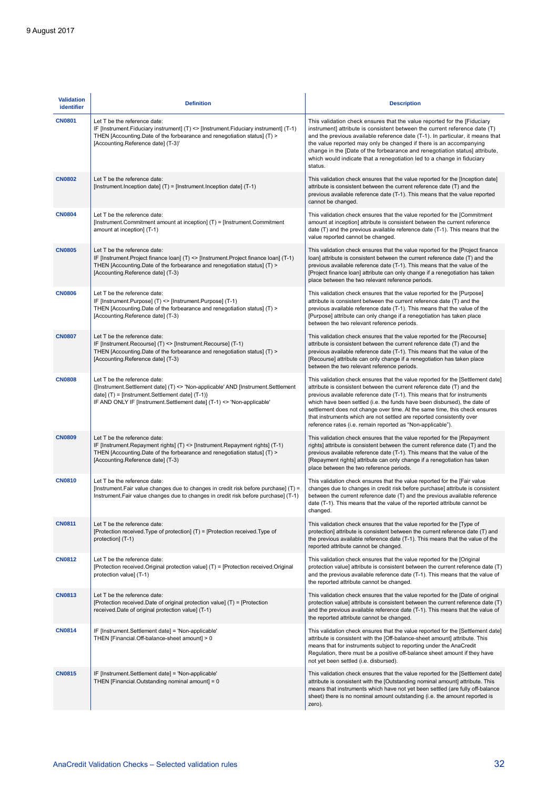| <b>Validation</b><br>identifier | <b>Definition</b>                                                                                                                                                                                                                            | <b>Description</b>                                                                                                                                                                                                                                                                                                                                                                                                                                                                                                                       |
|---------------------------------|----------------------------------------------------------------------------------------------------------------------------------------------------------------------------------------------------------------------------------------------|------------------------------------------------------------------------------------------------------------------------------------------------------------------------------------------------------------------------------------------------------------------------------------------------------------------------------------------------------------------------------------------------------------------------------------------------------------------------------------------------------------------------------------------|
| <b>CN0801</b>                   | Let T be the reference date:<br>IF [Instrument.Fiduciary instrument] $(T) \le$ [Instrument.Fiduciary instrument] $(T-1)$<br>THEN [Accounting Date of the forbearance and renegotiation status] (T) ><br>[Accounting.Reference date] (T-3)'   | This validation check ensures that the value reported for the [Fiduciary<br>instrument] attribute is consistent between the current reference date (T)<br>and the previous available reference date (T-1). In particular, it means that<br>the value reported may only be changed if there is an accompanying<br>change in the [Date of the forbearance and renegotiation status] attribute,<br>which would indicate that a renegotiation led to a change in fiduciary<br>status.                                                        |
| <b>CN0802</b>                   | Let T be the reference date:<br>[Instrument.Inception date] (T) = [Instrument.Inception date] (T-1)                                                                                                                                          | This validation check ensures that the value reported for the [Inception date]<br>attribute is consistent between the current reference date (T) and the<br>previous available reference date (T-1). This means that the value reported<br>cannot be changed.                                                                                                                                                                                                                                                                            |
| <b>CN0804</b>                   | Let T be the reference date:<br>[Instrument.Commitment amount at inception] (T) = [Instrument.Commitment]<br>amount at inception] (T-1)                                                                                                      | This validation check ensures that the value reported for the [Commitment<br>amount at inception] attribute is consistent between the current reference<br>date $(T)$ and the previous available reference date $(T-1)$ . This means that the<br>value reported cannot be changed.                                                                                                                                                                                                                                                       |
| <b>CN0805</b>                   | Let T be the reference date:<br>IF [Instrument.Project finance loan] $(T) \le$ [Instrument.Project finance loan] $(T-1)$<br>THEN [Accounting Date of the forbearance and renegotiation status] (T) ><br>[Accounting Reference date] (T-3)    | This validation check ensures that the value reported for the [Project finance<br>loan] attribute is consistent between the current reference date (T) and the<br>previous available reference date (T-1). This means that the value of the<br>[Project finance loan] attribute can only change if a renegotiation has taken<br>place between the two relevant reference periods.                                                                                                                                                        |
| <b>CN0806</b>                   | Let T be the reference date:<br>IF [Instrument.Purpose] (T) <> [Instrument.Purpose] (T-1)<br>THEN [Accounting Date of the forbearance and renegotiation status] (T) ><br>[Accounting.Reference date] (T-3)                                   | This validation check ensures that the value reported for the [Purpose]<br>attribute is consistent between the current reference date (T) and the<br>previous available reference date (T-1). This means that the value of the<br>[Purpose] attribute can only change if a renegotiation has taken place<br>between the two relevant reference periods.                                                                                                                                                                                  |
| <b>CN0807</b>                   | Let T be the reference date:<br>IF [Instrument.Recourse] (T) <> [Instrument.Recourse] (T-1)<br>THEN [Accounting.Date of the forbearance and renegotiation status] (T) ><br>[Accounting.Reference date] (T-3)                                 | This validation check ensures that the value reported for the [Recourse]<br>attribute is consistent between the current reference date (T) and the<br>previous available reference date (T-1). This means that the value of the<br>[Recourse] attribute can only change if a renegotiation has taken place<br>between the two relevant reference periods.                                                                                                                                                                                |
| <b>CN0808</b>                   | Let T be the reference date:<br>{[Instrument.Settlement date] (T) <> 'Non-applicable' AND [Instrument.Settlement<br>date] (T) = [Instrument.Settlement date] (T-1)}<br>IF AND ONLY IF [Instrument.Settlement date] (T-1) <> 'Non-applicable' | This validation check ensures that the value reported for the [Settlement date]<br>attribute is consistent between the current reference date (T) and the<br>previous available reference date (T-1). This means that for instruments<br>which have been settled (i.e. the funds have been disbursed), the date of<br>settlement does not change over time. At the same time, this check ensures<br>that instruments which are not settled are reported consistently over<br>reference rates (i.e. remain reported as "Non-applicable"). |
| <b>CN0809</b>                   | Let T be the reference date:<br>IF [Instrument.Repayment rights] (T) <> [Instrument.Repayment rights] (T-1)<br>THEN [Accounting Date of the forbearance and renegotiation status] (T) ><br>[Accounting.Reference date] (T-3)                 | This validation check ensures that the value reported for the [Repayment<br>rights] attribute is consistent between the current reference date (T) and the<br>previous available reference date (T-1). This means that the value of the<br>[Repayment rights] attribute can only change if a renegotiation has taken<br>place between the two reference periods.                                                                                                                                                                         |
| <b>CN0810</b>                   | Let T be the reference date:<br>[Instrument.Fair value changes due to changes in credit risk before purchase] (T) =<br>Instrument. Fair value changes due to changes in credit risk before purchase] (T-1)                                   | This validation check ensures that the value reported for the [Fair value<br>changes due to changes in credit risk before purchase] attribute is consistent<br>between the current reference date (T) and the previous available reference<br>date (T-1). This means that the value of the reported attribute cannot be<br>changed.                                                                                                                                                                                                      |
| <b>CN0811</b>                   | Let T be the reference date:<br>[Protection received.Type of protection] (T) = [Protection received.Type of<br>protection] (T-1)                                                                                                             | This validation check ensures that the value reported for the [Type of<br>protection] attribute is consistent between the current reference date (T) and<br>the previous available reference date (T-1). This means that the value of the<br>reported attribute cannot be changed.                                                                                                                                                                                                                                                       |
| <b>CN0812</b>                   | Let T be the reference date:<br>[Protection received.Original protection value] (T) = [Protection received.Original<br>protection value] (T-1)                                                                                               | This validation check ensures that the value reported for the [Original<br>protection value] attribute is consistent between the current reference date (T)<br>and the previous available reference date (T-1). This means that the value of<br>the reported attribute cannot be changed.                                                                                                                                                                                                                                                |
| <b>CN0813</b>                   | Let T be the reference date:<br>[Protection received.Date of original protection value] (T) = [Protection<br>received.Date of original protection value] (T-1)                                                                               | This validation check ensures that the value reported for the [Date of original<br>protection value] attribute is consistent between the current reference date (T)<br>and the previous available reference date (T-1). This means that the value of<br>the reported attribute cannot be changed.                                                                                                                                                                                                                                        |
| <b>CN0814</b>                   | IF [Instrument.Settlement date] = 'Non-applicable'<br>THEN [Financial.Off-balance-sheet amount] > 0                                                                                                                                          | This validation check ensures that the value reported for the [Settlement date]<br>attribute is consistent with the [Off-balance-sheet amount] attribute. This<br>means that for instruments subject to reporting under the AnaCredit<br>Regulation, there must be a positive off-balance sheet amount if they have<br>not yet been settled (i.e. disbursed).                                                                                                                                                                            |
| <b>CN0815</b>                   | IF [Instrument.Settlement date] = 'Non-applicable'<br>THEN [Financial.Outstanding nominal amount] = 0                                                                                                                                        | This validation check ensures that the value reported for the [Settlement date]<br>attribute is consistent with the [Outstanding nominal amount] attribute. This<br>means that instruments which have not yet been settled (are fully off-balance<br>sheet) there is no nominal amount outstanding (i.e. the amount reported is<br>zero).                                                                                                                                                                                                |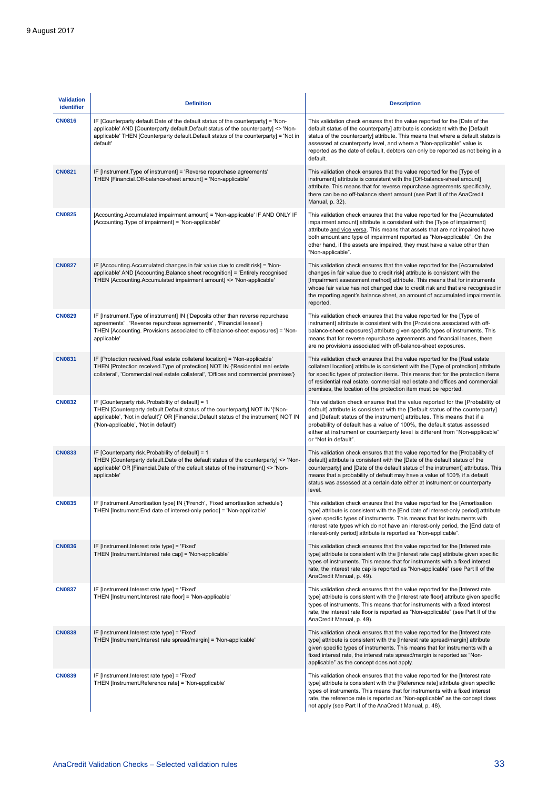| <b>Validation</b><br>identifier | <b>Definition</b>                                                                                                                                                                                                                                                          | <b>Description</b>                                                                                                                                                                                                                                                                                                                                                                                                             |
|---------------------------------|----------------------------------------------------------------------------------------------------------------------------------------------------------------------------------------------------------------------------------------------------------------------------|--------------------------------------------------------------------------------------------------------------------------------------------------------------------------------------------------------------------------------------------------------------------------------------------------------------------------------------------------------------------------------------------------------------------------------|
| <b>CN0816</b>                   | IF [Counterparty default.Date of the default status of the counterparty] = 'Non-<br>applicable' AND [Counterparty default.Default status of the counterparty] <> 'Non-<br>applicable' THEN [Counterparty default.Default status of the counterparty] = 'Not in<br>default' | This validation check ensures that the value reported for the [Date of the<br>default status of the counterparty] attribute is consistent with the [Default<br>status of the counterparty] attribute. This means that where a default status is<br>assessed at counterparty level, and where a "Non-applicable" value is<br>reported as the date of default, debtors can only be reported as not being in a<br>default.        |
| <b>CN0821</b>                   | IF [Instrument. Type of instrument] = 'Reverse repurchase agreements'<br>THEN [Financial.Off-balance-sheet amount] = 'Non-applicable'                                                                                                                                      | This validation check ensures that the value reported for the [Type of<br>instrument] attribute is consistent with the [Off-balance-sheet amount]<br>attribute. This means that for reverse repurchase agreements specifically,<br>there can be no off-balance sheet amount (see Part II of the AnaCredit<br>Manual, p. 32).                                                                                                   |
| <b>CN0825</b>                   | [Accounting.Accumulated impairment amount] = 'Non-applicable' IF AND ONLY IF<br>[Accounting.Type of impairment] = 'Non-applicable'                                                                                                                                         | This validation check ensures that the value reported for the [Accumulated<br>impairment amount] attribute is consistent with the [Type of impairment]<br>attribute and vice versa. This means that assets that are not impaired have<br>both amount and type of impairment reported as "Non-applicable". On the<br>other hand, if the assets are impaired, they must have a value other than<br>"Non-applicable".             |
| <b>CN0827</b>                   | IF [Accounting Accumulated changes in fair value due to credit risk] = 'Non-<br>applicable' AND [Accounting Balance sheet recognition] = 'Entirely recognised'<br>THEN [Accounting Accumulated impairment amount] <> 'Non-applicable'                                      | This validation check ensures that the value reported for the [Accumulated<br>changes in fair value due to credit risk] attribute is consistent with the<br>[Impairment assessment method] attribute. This means that for instruments<br>whose fair value has not changed due to credit risk and that are recognised in<br>the reporting agent's balance sheet, an amount of accumulated impairment is<br>reported.            |
| <b>CN0829</b>                   | IF [Instrument. Type of instrument] IN {'Deposits other than reverse repurchase<br>agreements', 'Reverse repurchase agreements', 'Financial leases'}<br>THEN [Accounting. Provisions associated to off-balance-sheet exposures] = 'Non-<br>applicable'                     | This validation check ensures that the value reported for the [Type of<br>instrument] attribute is consistent with the [Provisions associated with off-<br>balance-sheet exposures] attribute given specific types of instruments. This<br>means that for reverse repurchase agreements and financial leases, there<br>are no provisions associated with off-balance-sheet exposures.                                          |
| <b>CN0831</b>                   | IF [Protection received.Real estate collateral location] = 'Non-applicable'<br>THEN [Protection received. Type of protection] NOT IN {'Residential real estate<br>collateral', 'Commercial real estate collateral', 'Offices and commercial premises'}                     | This validation check ensures that the value reported for the [Real estate<br>collateral location] attribute is consistent with the [Type of protection] attribute<br>for specific types of protection items. This means that for the protection items<br>of residential real estate, commercial real estate and offices and commercial<br>premises, the location of the protection item must be reported.                     |
| <b>CN0832</b>                   | IF [Counterparty risk.Probability of default] = 1<br>THEN [Counterparty default.Default status of the counterparty] NOT IN '{'Non-<br>applicable', 'Not in default'}' OR [Financial.Default status of the instrument] NOT IN<br>{'Non-applicable', 'Not in default'}       | This validation check ensures that the value reported for the [Probability of<br>default] attribute is consistent with the [Default status of the counterparty]<br>and [Default status of the instrument] attributes. This means that if a<br>probability of default has a value of 100%, the default status assessed<br>either at instrument or counterparty level is different from "Non-applicable"<br>or "Not in default". |
| <b>CN0833</b>                   | IF [Counterparty risk.Probability of default] = 1<br>THEN [Counterparty default.Date of the default status of the counterparty] <> 'Non-<br>applicable' OR [Financial.Date of the default status of the instrument] <> 'Non-<br>applicable'                                | This validation check ensures that the value reported for the [Probability of<br>default] attribute is consistent with the [Date of the default status of the<br>counterparty] and [Date of the default status of the instrument] attributes. This<br>means that a probability of default may have a value of 100% if a default<br>status was assessed at a certain date either at instrument or counterparty<br>level.        |
| <b>CN0835</b>                   | IF [Instrument.Amortisation type] IN {'French', 'Fixed amortisation schedule'}<br>THEN [Instrument.End date of interest-only period] = 'Non-applicable'                                                                                                                    | This validation check ensures that the value reported for the [Amortisation<br>type] attribute is consistent with the [End date of interest-only period] attribute<br>given specific types of instruments. This means that for instruments with<br>interest rate types which do not have an interest-only period, the [End date of<br>interest-only period] attribute is reported as "Non-applicable".                         |
| <b>CN0836</b>                   | IF [Instrument.Interest rate type] = 'Fixed'<br>THEN [Instrument.Interest rate cap] = 'Non-applicable'                                                                                                                                                                     | This validation check ensures that the value reported for the [Interest rate<br>type] attribute is consistent with the [Interest rate cap] attribute given specific<br>types of instruments. This means that for instruments with a fixed interest<br>rate, the interest rate cap is reported as "Non-applicable" (see Part II of the<br>AnaCredit Manual, p. 49).                                                             |
| <b>CN0837</b>                   | IF [Instrument.Interest rate type] = 'Fixed'<br>THEN [Instrument.Interest rate floor] = 'Non-applicable'                                                                                                                                                                   | This validation check ensures that the value reported for the [Interest rate<br>type] attribute is consistent with the [Interest rate floor] attribute given specific<br>types of instruments. This means that for instruments with a fixed interest<br>rate, the interest rate floor is reported as "Non-applicable" (see Part II of the<br>AnaCredit Manual, p. 49).                                                         |
| <b>CN0838</b>                   | IF [Instrument.Interest rate type] = 'Fixed'<br>THEN [Instrument.Interest rate spread/margin] = 'Non-applicable'                                                                                                                                                           | This validation check ensures that the value reported for the [Interest rate<br>type] attribute is consistent with the [Interest rate spread/margin] attribute<br>given specific types of instruments. This means that for instruments with a<br>fixed interest rate, the interest rate spread/margin is reported as "Non-<br>applicable" as the concept does not apply.                                                       |
| <b>CN0839</b>                   | IF [Instrument.Interest rate type] = 'Fixed'<br>THEN [Instrument.Reference rate] = 'Non-applicable'                                                                                                                                                                        | This validation check ensures that the value reported for the [Interest rate<br>type] attribute is consistent with the [Reference rate] attribute given specific<br>types of instruments. This means that for instruments with a fixed interest<br>rate, the reference rate is reported as "Non-applicable" as the concept does<br>not apply (see Part II of the AnaCredit Manual, p. 48).                                     |